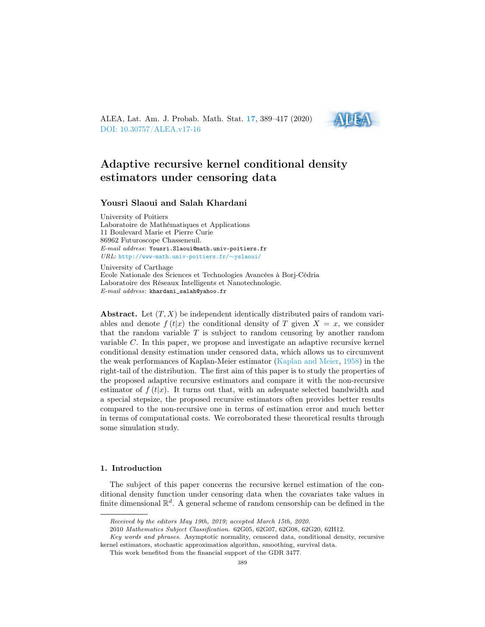ALEA, Lat. Am. J. Probab. Math. Stat. [17](http://alea.impa.br/english/index_v17.htm), 389–417 (2020) [DOI: 10.30757/ALEA.v17-16](https://doi.org/10.30757/ALEA.v17-16)



# Adaptive recursive kernel conditional density estimators under censoring data

### Yousri Slaoui and Salah Khardani

University of Poitiers Laboratoire de Mathématiques et Applications 11 Boulevard Marie et Pierre Curie 86962 Futuroscope Chasseneuil. E-mail address: Yousri.Slaoui@math.univ-poitiers.fr URL: [http://www-math.univ-poitiers.fr/](http://www-math.univ-poitiers.fr/~yslaoui/)∼yslaoui/

University of Carthage Ecole Nationale des Sciences et Technologies Avancées à Borj-Cédria Laboratoire des Réseaux Intelligents et Nanotechnologie. E-mail address: khardani\_salah@yahoo.fr

Abstract. Let  $(T, X)$  be independent identically distributed pairs of random variables and denote  $f(t|x)$  the conditional density of T given  $X = x$ , we consider that the random variable T is subject to random censoring by another random variable C. In this paper, we propose and investigate an adaptive recursive kernel conditional density estimation under censored data, which allows us to circumvent the weak performances of Kaplan-Meier estimator [\(Kaplan and Meier,](#page-27-0) [1958\)](#page-27-0) in the right-tail of the distribution. The first aim of this paper is to study the properties of the proposed adaptive recursive estimators and compare it with the non-recursive estimator of  $f(t|x)$ . It turns out that, with an adequate selected bandwidth and a special stepsize, the proposed recursive estimators often provides better results compared to the non-recursive one in terms of estimation error and much better in terms of computational costs. We corroborated these theoretical results through some simulation study.

#### 1. Introduction

The subject of this paper concerns the recursive kernel estimation of the conditional density function under censoring data when the covariates take values in finite dimensional  $\mathbb{R}^d$ . A general scheme of random censorship can be defined in the

Received by the editors May 19th, 2019; accepted March 15th, 2020.

<sup>2010</sup> Mathematics Subject Classification. 62G05, 62G07, 62G08, 62G20, 62H12.

Key words and phrases. Asymptotic normality, censored data, conditional density, recursive kernel estimators, stochastic approximation algorithm, smoothing, survival data.

This work benefited from the financial support of the GDR 3477.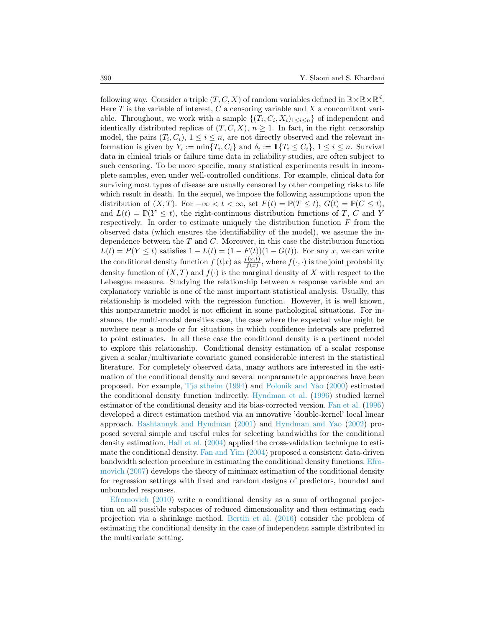following way. Consider a triple  $(T, C, X)$  of random variables defined in  $\mathbb{R} \times \mathbb{R} \times \mathbb{R}^d$ . Here  $T$  is the variable of interest,  $C$  a censoring variable and  $X$  a concomitant variable. Throughout, we work with a sample  $\{(T_i, C_i, X_i)_{1 \leq i \leq n}\}$  of independent and identically distributed replice of  $(T, C, X)$ ,  $n \geq 1$ . In fact, in the right censorship model, the pairs  $(T_i, C_i)$ ,  $1 \leq i \leq n$ , are not directly observed and the relevant information is given by  $Y_i := \min\{T_i, C_i\}$  and  $\delta_i := \mathbb{1}\{T_i \leq C_i\}, 1 \leq i \leq n$ . Survival data in clinical trials or failure time data in reliability studies, are often subject to such censoring. To be more specific, many statistical experiments result in incomplete samples, even under well-controlled conditions. For example, clinical data for surviving most types of disease are usually censored by other competing risks to life which result in death. In the sequel, we impose the following assumptions upon the distribution of  $(X, T)$ . For  $-\infty < t < \infty$ , set  $F(t) = \mathbb{P}(T \leq t)$ ,  $G(t) = \mathbb{P}(C \leq t)$ , and  $L(t) = \mathbb{P}(Y \leq t)$ , the right-continuous distribution functions of T, C and Y respectively. In order to estimate uniquely the distribution function  $F$  from the observed data (which ensures the identifiability of the model), we assume the independence between the  $T$  and  $C$ . Moreover, in this case the distribution function  $L(t) = P(Y \le t)$  satisfies  $1 - L(t) = (1 - F(t))(1 - G(t))$ . For any x, we can write the conditional density function  $f(t|x)$  as  $\frac{f(x,t)}{f(x)}$  $\frac{f(x,t)}{f(x)}$ , where  $f(\cdot,\cdot)$  is the joint probability density function of  $(X, T)$  and  $f(\cdot)$  is the marginal density of X with respect to the Lebesgue measure. Studying the relationship between a response variable and an explanatory variable is one of the most important statistical analysis. Usually, this relationship is modeled with the regression function. However, it is well known, this nonparametric model is not efficient in some pathological situations. For instance, the multi-modal densities case, the case where the expected value might be nowhere near a mode or for situations in which confidence intervals are preferred to point estimates. In all these case the conditional density is a pertinent model to explore this relationship. Conditional density estimation of a scalar response given a scalar/multivariate covariate gained considerable interest in the statistical literature. For completely observed data, many authors are interested in the estimation of the conditional density and several nonparametric approaches have been proposed. For example, [Tjø stheim](#page-28-0) [\(1994\)](#page-28-0) and [Polonik and Yao](#page-27-1) [\(2000\)](#page-27-1) estimated the conditional density function indirectly. [Hyndman et al.](#page-26-0) [\(1996\)](#page-26-0) studied kernel estimator of the conditional density and its bias-corrected version. [Fan et al.](#page-26-1) [\(1996\)](#page-26-1) developed a direct estimation method via an innovative 'double-kernel' local linear approach. [Bashtannyk and Hyndman](#page-25-0) [\(2001\)](#page-25-0) and [Hyndman and Yao](#page-26-2) [\(2002\)](#page-26-2) proposed several simple and useful rules for selecting bandwidths for the conditional density estimation. [Hall et al.](#page-26-3) [\(2004\)](#page-26-3) applied the cross-validation technique to estimate the conditional density. [Fan and Yim](#page-26-4) [\(2004\)](#page-26-4) proposed a consistent data-driven bandwidth selection procedure in estimating the conditional density functions. [Efro](#page-26-5)[movich](#page-26-5) [\(2007\)](#page-26-5) develops the theory of minimax estimation of the conditional density for regression settings with fixed and random designs of predictors, bounded and unbounded responses.

[Efromovich](#page-26-6) [\(2010\)](#page-26-6) write a conditional density as a sum of orthogonal projection on all possible subspaces of reduced dimensionality and then estimating each projection via a shrinkage method. [Bertin et al.](#page-25-1) [\(2016\)](#page-25-1) consider the problem of estimating the conditional density in the case of independent sample distributed in the multivariate setting.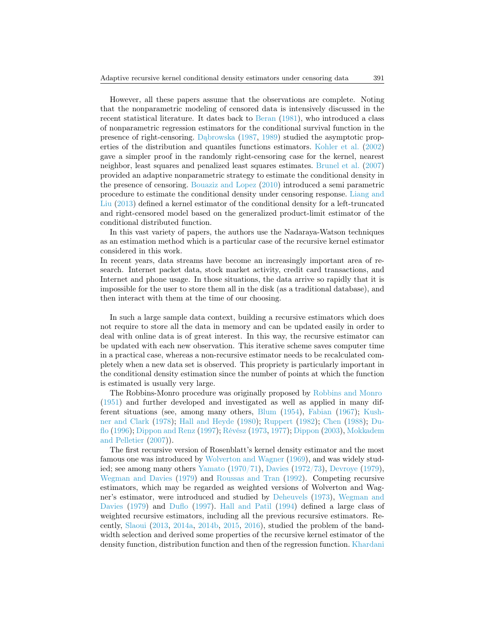However, all these papers assume that the observations are complete. Noting that the nonparametric modeling of censored data is intensively discussed in the recent statistical literature. It dates back to [Beran](#page-25-2) [\(1981\)](#page-25-2), who introduced a class of nonparametric regression estimators for the conditional survival function in the presence of right-censoring. [Dąbrowska](#page-26-7) [\(1987,](#page-26-7) [1989\)](#page-26-8) studied the asymptotic properties of the distribution and quantiles functions estimators. [Kohler et al.](#page-27-2) [\(2002\)](#page-27-2) gave a simpler proof in the randomly right-censoring case for the kernel, nearest neighbor, least squares and penalized least squares estimates. [Brunel et al.](#page-25-3) [\(2007\)](#page-25-3) provided an adaptive nonparametric strategy to estimate the conditional density in the presence of censoring. [Bouaziz and Lopez](#page-25-4) [\(2010\)](#page-25-4) introduced a semi parametric procedure to estimate the conditional density under censoring response. [Liang and](#page-27-3) [Liu](#page-27-3) [\(2013\)](#page-27-3) defined a kernel estimator of the conditional density for a left-truncated and right-censored model based on the generalized product-limit estimator of the conditional distributed function.

In this vast variety of papers, the authors use the Nadaraya-Watson techniques as an estimation method which is a particular case of the recursive kernel estimator considered in this work.

In recent years, data streams have become an increasingly important area of research. Internet packet data, stock market activity, credit card transactions, and Internet and phone usage. In those situations, the data arrive so rapidly that it is impossible for the user to store them all in the disk (as a traditional database), and then interact with them at the time of our choosing.

In such a large sample data context, building a recursive estimators which does not require to store all the data in memory and can be updated easily in order to deal with online data is of great interest. In this way, the recursive estimator can be updated with each new observation. This iterative scheme saves computer time in a practical case, whereas a non-recursive estimator needs to be recalculated completely when a new data set is observed. This propriety is particularly important in the conditional density estimation since the number of points at which the function is estimated is usually very large.

The Robbins-Monro procedure was originally proposed by [Robbins and Monro](#page-27-4) [\(1951\)](#page-27-4) and further developed and investigated as well as applied in many different situations (see, among many others, [Blum](#page-25-5) [\(1954\)](#page-25-5), [Fabian](#page-26-9) [\(1967\)](#page-26-9); [Kush](#page-27-5)[ner and Clark](#page-27-5) [\(1978\)](#page-27-5); [Hall and Heyde](#page-26-10) [\(1980\)](#page-26-10); [Ruppert](#page-27-6) [\(1982\)](#page-27-6); [Chen](#page-25-6) [\(1988\)](#page-25-6); [Du](#page-26-11)[flo](#page-26-11) [\(1996\)](#page-26-11); [Dippon and Renz](#page-26-12) [\(1997\)](#page-26-12); [Révész](#page-27-7) [\(1973,](#page-27-7) [1977\)](#page-27-8); [Dippon](#page-26-13) [\(2003\)](#page-26-13), [Mokkadem](#page-27-9) [and Pelletier](#page-27-9) [\(2007\)](#page-27-9)).

The first recursive version of Rosenblatt's kernel density estimator and the most famous one was introduced by [Wolverton and Wagner](#page-28-1) [\(1969\)](#page-28-1), and was widely studied; see among many others [Yamato](#page-28-2) [\(1970/71\)](#page-28-2), [Davies](#page-26-14) [\(1972/73\)](#page-26-14), [Devroye](#page-26-15) [\(1979\)](#page-26-15), [Wegman and Davies](#page-28-3) [\(1979\)](#page-28-3) and [Roussas and Tran](#page-27-10) [\(1992\)](#page-27-10). Competing recursive estimators, which may be regarded as weighted versions of Wolverton and Wagner's estimator, were introduced and studied by [Deheuvels](#page-26-16) [\(1973\)](#page-26-16), [Wegman and](#page-28-3) [Davies](#page-28-3) [\(1979\)](#page-28-3) and [Duflo](#page-26-17) [\(1997\)](#page-26-17). [Hall and Patil](#page-26-18) [\(1994\)](#page-26-18) defined a large class of weighted recursive estimators, including all the previous recursive estimators. Recently, [Slaoui](#page-27-11) [\(2013,](#page-27-11) [2014a,](#page-28-4) [2014b,](#page-28-5) [2015,](#page-28-6) [2016\)](#page-28-7), studied the problem of the bandwidth selection and derived some properties of the recursive kernel estimator of the density function, distribution function and then of the regression function. [Khardani](#page-27-12)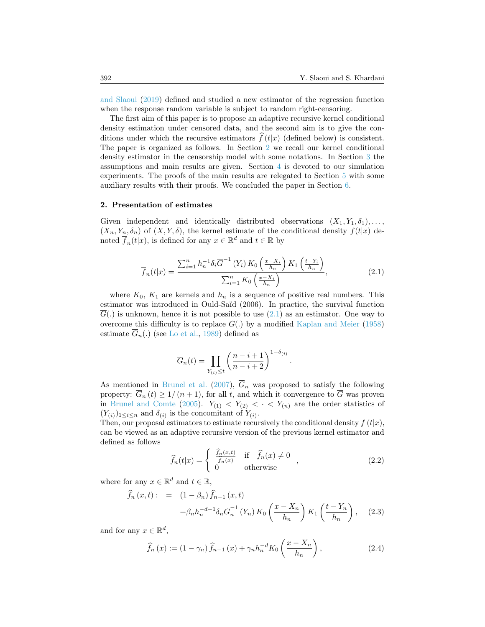[and Slaoui](#page-27-12) [\(2019\)](#page-27-12) defined and studied a new estimator of the regression function when the response random variable is subject to random right-censoring.

The first aim of this paper is to propose an adaptive recursive kernel conditional density estimation under censored data, and the second aim is to give the conditions under which the recursive estimators  $\hat{f}(t|x)$  (defined below) is consistent. The paper is organized as follows. In Section [2](#page-3-0) we recall our kernel conditional density estimator in the censorship model with some notations. In Section [3](#page-4-0) the assumptions and main results are given. Section [4](#page-9-0) is devoted to our simulation experiments. The proofs of the main results are relegated to Section [5](#page-14-0) with some auxiliary results with their proofs. We concluded the paper in Section [6.](#page-25-7)

#### <span id="page-3-0"></span>2. Presentation of estimates

Given independent and identically distributed observations  $(X_1, Y_1, \delta_1), \ldots$  $(X_n, Y_n, \delta_n)$  of  $(X, Y, \delta)$ , the kernel estimate of the conditional density  $f(t|x)$  denoted  $\overline{f}_n(t|x)$ , is defined for any  $x \in \mathbb{R}^d$  and  $t \in \mathbb{R}$  by

<span id="page-3-1"></span>
$$
\overline{f}_n(t|x) = \frac{\sum_{i=1}^n h_n^{-1} \delta_i \overline{G}^{-1} (Y_i) K_0 \left( \frac{x - X_i}{h_n} \right) K_1 \left( \frac{t - Y_i}{h_n} \right)}{\sum_{i=1}^n K_0 \left( \frac{x - X_i}{h_n} \right)},
$$
\n(2.1)

where  $K_0$ ,  $K_1$  are kernels and  $h_n$  is a sequence of positive real numbers. This estimator was introduced in Ould-Saïd (2006). In practice, the survival function  $G(.)$  is unknown, hence it is not possible to use  $(2.1)$  as an estimator. One way to overcome this difficulty is to replace  $\overline{G}(.)$  by a modified [Kaplan and Meier](#page-27-0) [\(1958\)](#page-27-0) estimate  $\overline{G}_n(.)$  (see [Lo et al.,](#page-27-13) [1989\)](#page-27-13) defined as

$$
\overline{G}_n(t) = \prod_{Y_{(i)} \le t} \left( \frac{n-i+1}{n-i+2} \right)^{1-\delta_{(i)}}.
$$

As mentioned in [Brunel et al.](#page-25-3) [\(2007\)](#page-25-3),  $\overline{G}_n$  was proposed to satisfy the following property:  $\overline{G}_n(t) \geq 1/(n+1)$ , for all t, and which it convergence to  $\overline{G}$  was proven in [Brunel and Comte](#page-25-8) [\(2005\)](#page-25-8).  $Y_{(1)} < Y_{(2)} < \cdot \cdot \cdot Y_{(n)}$  are the order statistics of  $(Y_{(i)})_{1 \leq i \leq n}$  and  $\delta_{(i)}$  is the concomitant of  $Y_{(i)}$ .

Then, our proposal estimators to estimate recursively the conditional density  $f(t|x)$ , can be viewed as an adaptive recursive version of the previous kernel estimator and defined as follows

<span id="page-3-4"></span>
$$
\widehat{f}_n(t|x) = \begin{cases}\n\frac{\widehat{f}_n(x,t)}{\widehat{f}_n(x)} & \text{if } \widehat{f}_n(x) \neq 0 \\
0 & \text{otherwise}\n\end{cases},
$$
\n(2.2)

where for any  $x \in \mathbb{R}^d$  and  $t \in \mathbb{R}$ ,

<span id="page-3-2"></span>
$$
\tilde{f}_n(x,t) := (1 - \beta_n) \tilde{f}_{n-1}(x,t) \n+ \beta_n h_n^{-d-1} \delta_n \overline{G}_n^{-1}(Y_n) K_0 \left( \frac{x - X_n}{h_n} \right) K_1 \left( \frac{t - Y_n}{h_n} \right), \quad (2.3)
$$

and for any  $x \in \mathbb{R}^d$ ,

<span id="page-3-3"></span>
$$
\widehat{f}_n(x) := (1 - \gamma_n) \widehat{f}_{n-1}(x) + \gamma_n h_n^{-d} K_0\left(\frac{x - X_n}{h_n}\right),\tag{2.4}
$$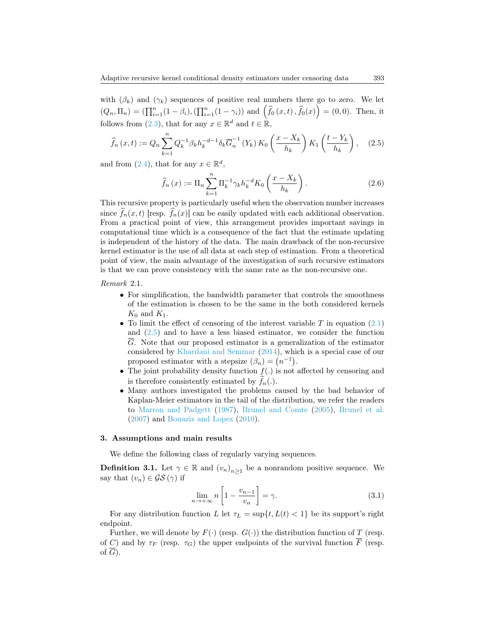with  $(\beta_k)$  and  $(\gamma_k)$  sequences of positive real numbers there go to zero. We let  $(Q_n, \Pi_n) = (\prod_{i=1}^n (1 - \beta_i), (\prod_{i=1}^n (1 - \gamma_i))$  and  $(\hat{f}_0(x, t), \hat{f}_0(x)) = (0, 0)$ . Then, it follows from  $(2.3)$ , that for any  $x \in \mathbb{R}^d$  and  $t \in \mathbb{R}$ ,

<span id="page-4-1"></span>
$$
\widehat{f}_n(x,t) := Q_n \sum_{k=1}^n Q_k^{-1} \beta_k h_k^{-d-1} \delta_k \overline{G}_n^{-1} \left( Y_k \right) K_0 \left( \frac{x - X_k}{h_k} \right) K_1 \left( \frac{t - Y_k}{h_k} \right), \quad (2.5)
$$

and from [\(2.4\)](#page-3-3), that for any  $x \in \mathbb{R}^d$ ,

<span id="page-4-3"></span>
$$
\hat{f}_n(x) := \Pi_n \sum_{k=1}^n \Pi_k^{-1} \gamma_k h_k^{-d} K_0 \left( \frac{x - X_k}{h_k} \right).
$$
 (2.6)

This recursive property is particularly useful when the observation number increases since  $\widehat{f}_n(x, t)$  [resp.  $\widehat{f}_n(x)$ ] can be easily updated with each additional observation. From a practical point of view, this arrangement provides important savings in computational time which is a consequence of the fact that the estimate updating is independent of the history of the data. The main drawback of the non-recursive kernel estimator is the use of all data at each step of estimation. From a theoretical point of view, the main advantage of the investigation of such recursive estimators is that we can prove consistency with the same rate as the non-recursive one.

Remark 2.1.

- For simplification, the bandwidth parameter that controls the smoothness of the estimation is chosen to be the same in the both considered kernels  $K_0$  and  $K_1$ .
- To limit the effect of censoring of the interest variable  $T$  in equation [\(2.1\)](#page-3-1) and [\(2.5\)](#page-4-1) and to have a less biased estimator, we consider the function G. Note that our proposed estimator is a generalization of the estimator considered by [Khardani and Semmar](#page-27-14) [\(2014\)](#page-27-14), which is a special case of our proposed estimator with a stepsize  $(\beta_n) = (n^{-1})$ .
- The joint probability density function  $f(.)$  is not affected by censoring and is therefore consistently estimated by  $f_n(.)$ .
- Many authors investigated the problems caused by the bad behavior of Kaplan-Meier estimators in the tail of the distribution, we refer the readers to [Marron and Padgett](#page-27-15) [\(1987\)](#page-27-15), [Brunel and Comte](#page-25-8) [\(2005\)](#page-25-8), [Brunel et al.](#page-25-3) [\(2007\)](#page-25-3) and [Bouaziz and Lopez](#page-25-4) [\(2010\)](#page-25-4).

#### <span id="page-4-0"></span>3. Assumptions and main results

We define the following class of regularly varying sequences.

**Definition 3.1.** Let  $\gamma \in \mathbb{R}$  and  $(v_n)_{n \geq 1}$  be a nonrandom positive sequence. We say that  $(v_n) \in \mathcal{GS}(\gamma)$  if

<span id="page-4-2"></span>
$$
\lim_{n \to +\infty} n \left[ 1 - \frac{v_{n-1}}{v_n} \right] = \gamma.
$$
\n(3.1)

For any distribution function L let  $\tau_L = \sup\{t, L(t) < 1\}$  be its support's right endpoint.

Further, we will denote by  $F(\cdot)$  (resp.  $G(\cdot)$ ) the distribution function of T (resp. of C) and by  $\tau_F$  (resp.  $\tau_G$ ) the upper endpoints of the survival function  $\overline{F}$  (resp. of  $\overline{G}$ ).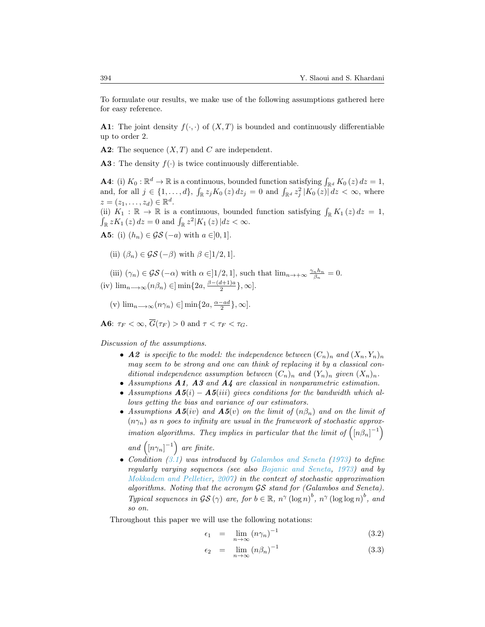To formulate our results, we make use of the following assumptions gathered here for easy reference.

**A1**: The joint density  $f(\cdot, \cdot)$  of  $(X, T)$  is bounded and continuously differentiable up to order 2.

**A2:** The sequence  $(X, T)$  and C are independent.

**A3**: The density  $f(\cdot)$  is twice continuously differentiable.

**A4**: (i)  $K_0: \mathbb{R}^d \to \mathbb{R}$  is a continuous, bounded function satisfying  $\int_{\mathbb{R}^d} K_0(z) dz = 1$ , and, for all  $j \in \{1, ..., d\}$ ,  $\int_{\mathbb{R}} z_j K_0(z) dz_j = 0$  and  $\int_{\mathbb{R}^d} z_j^2 |K_0(z)| dz < \infty$ , where  $z = (z_1, \ldots, z_d) \in \mathbb{R}^d$ .

(ii)  $K_1 : \mathbb{R} \to \mathbb{R}$  is a continuous, bounded function satisfying  $\int_{\mathbb{R}} K_1(z) dz = 1$ ,  $\int_{\mathbb{R}} z K_1(z) dz = 0$  and  $\int_{\mathbb{R}} z^2 |K_1(z)| dz < \infty$ .

**A5:** (i)  $(h_n) \in \mathcal{GS}(-a)$  with  $a \in ]0,1]$ .

(ii)  $(\beta_n) \in \mathcal{GS}(-\beta)$  with  $\beta \in ]1/2, 1]$ .

(iii)  $(\gamma_n) \in \mathcal{GS}(-\alpha)$  with  $\alpha \in ]1/2,1]$ , such that  $\lim_{n \to +\infty} \frac{\gamma_n h_n}{\beta_n} = 0$ . (iv)  $\lim_{n\longrightarrow\infty} (n\beta_n) \in ]\min\{2a, \frac{\beta-(d+1)a}{2}$  $\frac{i+1)a}{2}\},\infty].$ 

(v) 
$$
\lim_{n \to \infty} (n\gamma_n) \in ]\min\{2a, \frac{\alpha - ad}{2}\}, \infty].
$$

**A6:**  $\tau_F < \infty$ ,  $\overline{G}(\tau_F) > 0$  and  $\tau < \tau_F < \tau_G$ .

Discussion of the assumptions.

- A2 is specific to the model: the independence between  $(C_n)_n$  and  $(X_n, Y_n)_n$ may seem to be strong and one can think of replacing it by a classical conditional independence assumption between  $(C_n)_n$  and  $(Y_n)_n$  given  $(X_n)_n$ .
- Assumptions A1, A3 and A4 are classical in nonparametric estimation.
- Assumptions  $\mathbf{A5}(i) \mathbf{A5}(iii)$  gives conditions for the bandwidth which allows getting the bias and variance of our estimators.
- Assumptions  $\mathbf{A5}(iv)$  and  $\mathbf{A5}(v)$  on the limit of  $(n\beta_n)$  and on the limit of  $(n\gamma_n)$  as n goes to infinity are usual in the framework of stochastic approximation algorithms. They implies in particular that the limit of  $\left( \left[ n\beta_{n}\right] ^{-1}\right)$

and  $\left( \left[ n\gamma_{n}\right] ^{-1}\right)$  are finite.

• Condition [\(3.1\)](#page-4-2) was introduced by [Galambos and Seneta](#page-26-19) [\(1973\)](#page-26-19) to define regularly varying sequences (see also [Bojanic and Seneta,](#page-25-9) [1973\)](#page-25-9) and by [Mokkadem and Pelletier,](#page-27-9) [2007\)](#page-27-9) in the context of stochastic approximation algorithms. Noting that the acronym GS stand for (Galambos and Seneta). Typical sequences in  $\mathcal{GS}(\gamma)$  are, for  $b \in \mathbb{R}$ ,  $n^{\gamma} (\log n)^{b}$ ,  $n^{\gamma} (\log \log n)^{b}$ , and so on.

Throughout this paper we will use the following notations:

<span id="page-5-0"></span>
$$
\epsilon_1 = \lim_{n \to \infty} (n\gamma_n)^{-1} \tag{3.2}
$$

$$
\epsilon_2 = \lim_{n \to \infty} (n\beta_n)^{-1} \tag{3.3}
$$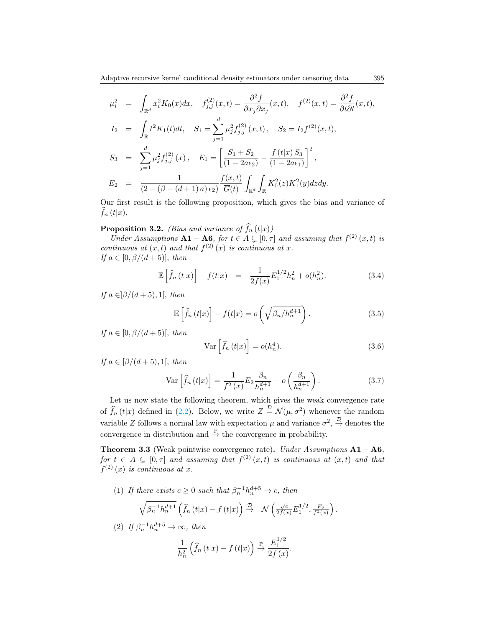$$
\mu_i^2 = \int_{\mathbb{R}^d} x_i^2 K_0(x) dx, \quad f_{j,j}^{(2)}(x,t) = \frac{\partial^2 f}{\partial x_j \partial x_j}(x,t), \quad f^{(2)}(x,t) = \frac{\partial^2 f}{\partial t \partial t}(x,t),
$$
  
\n
$$
I_2 = \int_{\mathbb{R}} t^2 K_1(t) dt, \quad S_1 = \sum_{j=1}^d \mu_j^2 f_{j,j}^{(2)}(x,t), \quad S_2 = I_2 f^{(2)}(x,t),
$$
  
\n
$$
S_3 = \sum_{j=1}^d \mu_j^2 f_{j,j}^{(2)}(x), \quad E_1 = \left[\frac{S_1 + S_2}{(1 - 2a\epsilon_2)} - \frac{f(t|x) S_3}{(1 - 2a\epsilon_1)}\right]^2,
$$
  
\n
$$
E_2 = \frac{1}{(2 - (\beta - (d+1)a)\epsilon_2)} \frac{f(x,t)}{\overline{G}(t)} \int_{\mathbb{R}^d} \int_{\mathbb{R}} K_0^2(z) K_1^2(y) dz dy.
$$

Our first result is the following proposition, which gives the bias and variance of  $\widehat{f}_n(t|x)$ .

## <span id="page-6-0"></span>**Proposition 3.2.** *(Bias and variance of*  $\hat{f}_n(t|x)$ )

Under Assumptions  $A1 - A6$ , for  $t \in A \subsetneq [0, \tau]$  and assuming that  $f^{(2)}(x, t)$  is continuous at  $(x, t)$  and that  $f^{(2)}(x)$  is continuous at x. If  $a \in [0, \beta/(d+5)]$ , then

<span id="page-6-1"></span>
$$
\mathbb{E}\left[\hat{f}_n\left(t|x\right)\right] - f(t|x) = \frac{1}{2f(x)}E_1^{1/2}h_n^2 + o(h_n^2). \tag{3.4}
$$

If  $a \in \frac{\beta}{d+5}$ , 1, then

<span id="page-6-2"></span>
$$
\mathbb{E}\left[\hat{f}_n\left(t|x\right)\right] - f(t|x) = o\left(\sqrt{\beta_n/h_n^{d+1}}\right). \tag{3.5}
$$

If  $a \in [0, \beta/(d+5)]$ , then

<span id="page-6-4"></span>
$$
\operatorname{Var}\left[\widehat{f}_n\left(t|x\right)\right] = o(h_n^4). \tag{3.6}
$$

If  $a \in \left[\beta/(d+5), 1\right]$ , then

<span id="page-6-3"></span>
$$
\operatorname{Var}\left[\hat{f}_n\left(t|x\right)\right] = \frac{1}{f^2\left(x\right)} E_2 \frac{\beta_n}{h_n^{d+1}} + o\left(\frac{\beta_n}{h_n^{d+1}}\right). \tag{3.7}
$$

Let us now state the following theorem, which gives the weak convergence rate of  $\widehat{f}_n(t|x)$  defined in [\(2.2\)](#page-3-4). Below, we write  $Z \stackrel{\mathcal{D}}{=} \mathcal{N}(\mu, \sigma^2)$  whenever the random variable Z follows a normal law with expectation  $\mu$  and variance  $\sigma^2$ ,  $\stackrel{\mathcal{D}}{\rightarrow}$  denotes the convergence in distribution and  $\stackrel{\mathbb{P}}{\rightarrow}$  the convergence in probability.

<span id="page-6-5"></span>Theorem 3.3 (Weak pointwise convergence rate). Under Assumptions  $A1 - A6$ , for  $t \in A \subsetneq [0, \tau]$  and assuming that  $f^{(2)}(x, t)$  is continuous at  $(x, t)$  and that  $f^{(2)}(x)$  is continuous at x.

(1) If there exists  $c \geq 0$  such that  $\beta_n^{-1} h_n^{d+5} \to c$ , then

$$
\sqrt{\beta_n^{-1}h_n^{d+1}}\left(\widehat{f}_n\left(t|x\right)-f\left(t|x\right)\right) \stackrel{\mathcal{D}}{\rightarrow} \mathcal{N}\left(\frac{\sqrt{c}}{2f(x)}E_1^{1/2},\frac{E_2}{f^2(x)}\right).
$$

(2) If 
$$
\beta_n^{-1}h_n^{d+5} \to \infty
$$
, then

$$
\frac{1}{h_n^2}\left(\widehat{f}_n\left(t|x\right)-f\left(t|x\right)\right)\overset{\mathbb{P}}{\to}\frac{E_1^{1/2}}{2f\left(x\right)}.
$$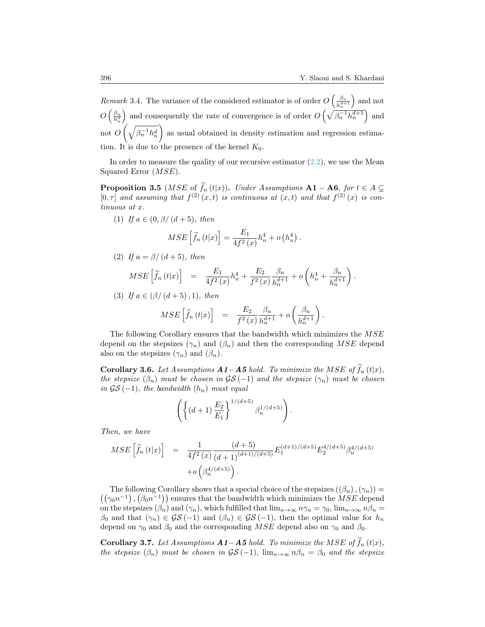*Remark* 3.4. The variance of the considered estimator is of order  $O\left(\frac{\beta_n}{\epsilon^{d+1}}\right)$  $\overline{h_n^{d+1}}$  and not  $O\left(\frac{\beta_n}{h_n^d}\right)$ ) and consequently the rate of convergence is of order  $O\left(\sqrt{\beta_n^{-1}h_n^{d+1}}\right)$  and not  $O\left(\sqrt{\beta_n^{-1}h_n^d}\right)$  as usual obtained in density estimation and regression estimation. It is due to the presence of the kernel  $K_0$ .

In order to measure the quality of our recursive estimator  $(2.2)$ , we use the Mean Squared Error (MSE).

**Proposition 3.5** (*MSE* of  $\widehat{f}_n(t|x)$ ). Under Assumptions **A1** – **A6**, for  $t \in A \subsetneq$  [0,  $\tau$ ] and assuming that  $f^{(2)}(x, t)$  is continuous at  $(x, t)$  and that  $f^{(2)}(x)$  is continuous at x.

(1) If  $a \in (0, \beta/(d+5))$ , then

$$
MSE\left[\hat{f}_n(t|x)\right] = \frac{E_1}{4f^2(x)}h_n^4 + o\left(h_n^4\right).
$$

(2) If  $a = \frac{\beta}{(d+5)}$ , then

$$
MSE\left[\hat{f}_n(t|x)\right] = \frac{E_1}{4f^2(x)}h_n^4 + \frac{E_2}{f^2(x)}\frac{\beta_n}{h_n^{d+1}} + o\left(h_n^4 + \frac{\beta_n}{h_n^{d+1}}\right).
$$

(3) If  $a \in (\beta/(d+5), 1)$ , then

$$
MSE\left[\hat{f}_n(t|x)\right] = \frac{E_2}{f^2(x)}\frac{\beta_n}{h_n^{d+1}} + o\left(\frac{\beta_n}{h_n^{d+1}}\right).
$$

The following Corollary ensures that the bandwidth which minimizes the MSE depend on the stepsizes  $(\gamma_n)$  and  $(\beta_n)$  and then the corresponding MSE depend also on the stepsizes  $(\gamma_n)$  and  $(\beta_n)$ .

Corollary 3.6. Let Assumptions  $A1-A5$  hold. To minimize the MSE of  $f_n(t|x)$ , the stepsize  $(\beta_n)$  must be chosen in  $\mathcal{GS}(-1)$  and the stepsize  $(\gamma_n)$  must be chosen in  $\mathcal{G}\mathcal{S}(-1)$ , the bandwidth  $(h_n)$  must equal

$$
\left( \left\{ (d+1) \, \frac{E_2}{E_1} \right\}^{1/(d+5)} \beta_n^{1/(d+5)} \right).
$$

Then, we have

$$
MSE\left[\hat{f}_n(t|x)\right] = \frac{1}{4f^2(x)} \frac{(d+5)}{(d+1)^{(d+1)/(d+5)}} E_1^{(d+1)/(d+5)} E_2^{4/(d+5)} \beta_n^{4/(d+5)} + o\left(\beta_n^{4/(d+5)}\right).
$$

The following Corollary shows that a special choice of the stepsizes  $((\beta_n),(\gamma_n)) =$  $((\gamma_0 n^{-1}), (\beta_0 n^{-1}))$  ensures that the bandwidth which minimizes the MSE depend on the stepsizes  $(\beta_n)$  and  $(\gamma_n)$ , which fulfilled that  $\lim_{n\to\infty} n\gamma_n = \gamma_0$ ,  $\lim_{n\to\infty} n\beta_n =$  $\beta_0$  and that  $(\gamma_n) \in \mathcal{GS}(-1)$  and  $(\beta_n) \in \mathcal{GS}(-1)$ , then the optimal value for  $h_n$ depend on  $\gamma_0$  and  $\beta_0$  and the corresponding MSE depend also on  $\gamma_0$  and  $\beta_0$ .

Corollary 3.7. Let Assumptions  $A1-A5$  hold. To minimize the MSE of  $\widehat{f}_n(t|x)$ , the stepsize  $(\beta_n)$  must be chosen in  $\mathcal{GS}(-1)$ ,  $\lim_{n\to\infty} n\beta_n = \beta_0$  and the stepsize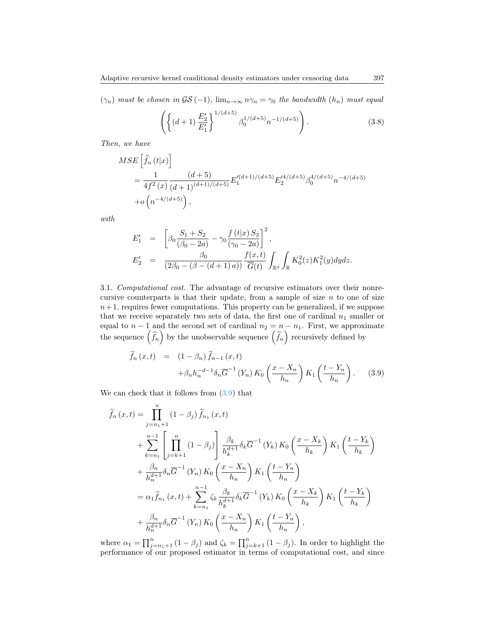$(\gamma_n)$  must be chosen in  $\mathcal{GS}(-1)$ ,  $\lim_{n\to\infty} n\gamma_n = \gamma_0$  the bandwidth  $(h_n)$  must equal

<span id="page-8-1"></span>
$$
\left( \left\{ (d+1) \frac{E_2'}{E_1'} \right\}^{1/(d+5)} \beta_0^{1/(d+5)} n^{-1/(d+5)} \right). \tag{3.8}
$$

Then, we have

$$
MSE\left[\hat{f}_n(t|x)\right]
$$
  
=  $\frac{1}{4f^2(x)} \frac{(d+5)}{(d+1)^{(d+1)/(d+5)}} E_1'^{(d+1)/(d+5)} E_2'^{4/(d+5)} \beta_0^{4/(d+5)} n^{-4/(d+5)}$   
+  $o\left(n^{-4/(d+5)}\right)$ ,

with

$$
E'_{1} = \left[ \beta_{0} \frac{S_{1} + S_{2}}{(\beta_{0} - 2a)} - \gamma_{0} \frac{f(t|x) S_{3}}{(\gamma_{0} - 2a)} \right]^{2},
$$
  
\n
$$
E'_{2} = \frac{\beta_{0}}{(2\beta_{0} - (\beta - (d+1)a))} \frac{f(x,t)}{\overline{G}(t)} \int_{\mathbb{R}^{d}} \int_{\mathbb{R}} K_{0}^{2}(z) K_{1}^{2}(y) dy dz.
$$

3.1. Computational cost. The advantage of recursive estimators over their nonrecursive counterparts is that their update, from a sample of size  $n$  to one of size  $n+1$ , requires fewer computations. This property can be generalized, if we suppose that we receive separately two sets of data, the first one of cardinal  $n_1$  smaller or equal to  $n-1$  and the second set of cardinal  $n_2 = n - n_1$ . First, we approximate the sequence  $(\widehat{f}_n)$  by the unobservable sequence  $(\widetilde{f}_n)$  recursively defined by

<span id="page-8-0"></span>
$$
\widetilde{f}_n(x,t) = (1 - \beta_n) \widetilde{f}_{n-1}(x,t) \n+ \beta_n h_n^{-d-1} \delta_n \overline{G}^{-1}(Y_n) K_0 \left( \frac{x - X_n}{h_n} \right) K_1 \left( \frac{t - Y_n}{h_n} \right). \tag{3.9}
$$

We can check that it follows from  $(3.9)$  that

$$
\tilde{f}_n(x,t) = \prod_{j=n_1+1}^n (1 - \beta_j) \tilde{f}_{n_1}(x,t)
$$
\n
$$
+ \sum_{k=n_1}^{n-1} \left[ \prod_{j=k+1}^n (1 - \beta_j) \right] \frac{\beta_k}{h_k^{d+1}} \delta_k \overline{G}^{-1}(Y_k) K_0 \left( \frac{x - X_k}{h_k} \right) K_1 \left( \frac{t - Y_k}{h_k} \right)
$$
\n
$$
+ \frac{\beta_n}{h_n^{d+1}} \delta_n \overline{G}^{-1}(Y_n) K_0 \left( \frac{x - X_n}{h_n} \right) K_1 \left( \frac{t - Y_n}{h_n} \right)
$$
\n
$$
= \alpha_1 \tilde{f}_{n_1}(x,t) + \sum_{k=n_1}^{n-1} \zeta_k \frac{\beta_k}{h_k^{d+1}} \delta_k \overline{G}^{-1}(Y_k) K_0 \left( \frac{x - X_k}{h_k} \right) K_1 \left( \frac{t - Y_k}{h_k} \right)
$$
\n
$$
+ \frac{\beta_n}{h_n^{d+1}} \delta_n \overline{G}^{-1}(Y_n) K_0 \left( \frac{x - X_n}{h_n} \right) K_1 \left( \frac{t - Y_n}{h_n} \right),
$$

where  $\alpha_1 = \prod_{j=n_1+1}^n (1-\beta_j)$  and  $\zeta_k = \prod_{j=k+1}^n (1-\beta_j)$ . In order to highlight the performance of our proposed estimator in terms of computational cost, and since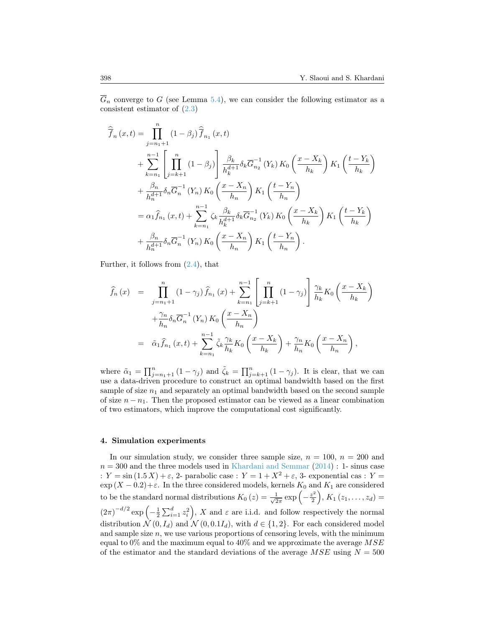$\overline{G}_n$  converge to G (see Lemma [5.4\)](#page-17-0), we can consider the following estimator as a consistent estimator of [\(2.3\)](#page-3-2)

$$
\widehat{\overline{f}}_{n}(x,t) = \prod_{j=n_{1}+1}^{n} (1 - \beta_{j}) \widehat{\overline{f}}_{n_{1}}(x,t) \n+ \sum_{k=n_{1}}^{n-1} \left[ \prod_{j=k+1}^{n} (1 - \beta_{j}) \right] \frac{\beta_{k}}{h_{k}^{d+1}} \delta_{k} \overline{G}_{n_{2}}^{-1}(Y_{k}) K_{0} \left( \frac{x - X_{k}}{h_{k}} \right) K_{1} \left( \frac{t - Y_{k}}{h_{k}} \right) \n+ \frac{\beta_{n}}{h_{n}^{d+1}} \delta_{n} \overline{G}_{n}^{-1}(Y_{n}) K_{0} \left( \frac{x - X_{n}}{h_{n}} \right) K_{1} \left( \frac{t - Y_{n}}{h_{n}} \right) \n= \alpha_{1} \widehat{f}_{n_{1}}(x,t) + \sum_{k=n_{1}}^{n-1} \zeta_{k} \frac{\beta_{k}}{h_{k}^{d+1}} \delta_{k} \overline{G}_{n_{2}}^{-1}(Y_{k}) K_{0} \left( \frac{x - X_{k}}{h_{k}} \right) K_{1} \left( \frac{t - Y_{k}}{h_{k}} \right) \n+ \frac{\beta_{n}}{h_{n}^{d+1}} \delta_{n} \overline{G}_{n}^{-1}(Y_{n}) K_{0} \left( \frac{x - X_{n}}{h_{n}} \right) K_{1} \left( \frac{t - Y_{n}}{h_{n}} \right).
$$

Further, it follows from  $(2.4)$ , that

$$
\hat{f}_n(x) = \prod_{j=n_1+1}^n (1 - \gamma_j) \hat{f}_{n_1}(x) + \sum_{k=n_1}^{n-1} \left[ \prod_{j=k+1}^n (1 - \gamma_j) \right] \frac{\gamma_k}{h_k} K_0 \left( \frac{x - X_k}{h_k} \right) \n+ \frac{\gamma_n}{h_n} \delta_n \overline{G}_n^{-1} (Y_n) K_0 \left( \frac{x - X_n}{h_n} \right) \n= \tilde{\alpha}_1 \hat{f}_{n_1}(x, t) + \sum_{k=n_1}^{n-1} \tilde{\zeta}_k \frac{\gamma_k}{h_k} K_0 \left( \frac{x - X_k}{h_k} \right) + \frac{\gamma_n}{h_n} K_0 \left( \frac{x - X_n}{h_n} \right),
$$

where  $\tilde{\alpha}_1 = \prod_{j=n_1+1}^n (1 - \gamma_j)$  and  $\tilde{\zeta}_k = \prod_{j=k+1}^n (1 - \gamma_j)$ . It is clear, that we can use a data-driven procedure to construct an optimal bandwidth based on the first sample of size  $n_1$  and separately an optimal bandwidth based on the second sample of size  $n - n_1$ . Then the proposed estimator can be viewed as a linear combination of two estimators, which improve the computational cost significantly.

#### <span id="page-9-0"></span>4. Simulation experiments

In our simulation study, we consider three sample size,  $n = 100$ ,  $n = 200$  and  $n = 300$  and the three models used in [Khardani and Semmar](#page-27-14) [\(2014\)](#page-27-14) : 1- sinus case :  $Y = \sin(1.5 X) + \varepsilon$ , 2- parabolic case :  $Y = 1 + X^2 + \varepsilon$ , 3- exponential cas :  $Y =$  $\exp(X - 0.2) + \varepsilon$ . In the three considered models, kernels  $K_0$  and  $K_1$  are considered to be the standard normal distributions  $K_0(z) = \frac{1}{\sqrt{2}}$  $rac{1}{2\pi}$  exp  $\left(-\frac{z^2}{2}\right)$  $\left(\frac{z^2}{2}\right), K_1(z_1,\ldots,z_d) =$  $(2\pi)^{-d/2} \exp\left(-\frac{1}{2}\sum_{i=1}^d z_i^2\right)$ , X and  $\varepsilon$  are i.i.d. and follow respectively the normal distribution  $\mathcal{N}(0, I_d)$  and  $\mathcal{N}(0, 0.1I_d)$ , with  $d \in \{1, 2\}$ . For each considered model and sample size  $n$ , we use various proportions of censoring levels, with the minimum equal to  $0\%$  and the maximum equal to  $40\%$  and we approximate the average  $MSE$ of the estimator and the standard deviations of the average  $MSE$  using  $N = 500$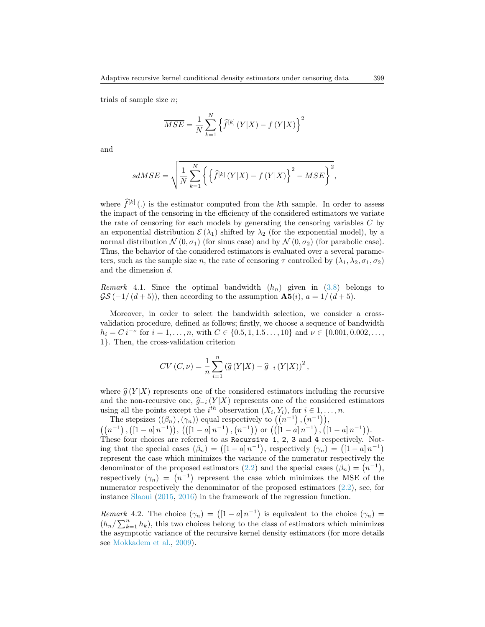trials of sample size  $n$ ;

$$
\overline{MSE} = \frac{1}{N} \sum_{k=1}^{N} \left\{ \widehat{f}^{[k]} \left( Y | X \right) - f \left( Y | X \right) \right\}^{2}
$$

and

$$
sdMSE = \sqrt{\frac{1}{N} \sum_{k=1}^{N} \left\{ \left\{ \widehat{f}^{[k]} \left( Y | X \right) - f \left( Y | X \right) \right\}^2 - \overline{MSE} \right\}^2},
$$

where  $\widehat{f}^{[k]}$  (.) is the estimator computed from the kth sample. In order to assess the impact of the censoring in the efficiency of the considered estimators we variate the rate of censoring for each models by generating the censoring variables C by an exponential distribution  $\mathcal{E}(\lambda_1)$  shifted by  $\lambda_2$  (for the exponential model), by a normal distribution  $\mathcal{N}(0, \sigma_1)$  (for sinus case) and by  $\mathcal{N}(0, \sigma_2)$  (for parabolic case). Thus, the behavior of the considered estimators is evaluated over a several parameters, such as the sample size n, the rate of censoring  $\tau$  controlled by  $(\lambda_1, \lambda_2, \sigma_1, \sigma_2)$ and the dimension d.

Remark 4.1. Since the optimal bandwidth  $(h_n)$  given in [\(3.8\)](#page-8-1) belongs to  $\mathcal{GS}(-1/(d+5))$ , then according to the assumption  $\mathbf{A5}(i)$ ,  $a = 1/(d+5)$ .

Moreover, in order to select the bandwidth selection, we consider a crossvalidation procedure, defined as follows; firstly, we choose a sequence of bandwidth  $h_i = C i^{-\nu}$  for  $i = 1, ..., n$ , with  $C \in \{0.5, 1, 1.5 ..., 10\}$  and  $\nu \in \{0.001, 0.002, ...,$ 1}. Then, the cross-validation criterion

$$
CV(C,\nu) = \frac{1}{n} \sum_{i=1}^{n} \left( \widehat{g}(Y|X) - \widehat{g}_{-i}(Y|X) \right)^{2},
$$

where  $\hat{g}(Y | X)$  represents one of the considered estimators including the recursive and the non-recursive one,  $\hat{g}_{-i} (Y | X)$  represents one of the considered estimators using all the points except the  $i^{th}$  observation  $(X_i, Y_i)$ , for  $i \in 1, ..., n$ .

The stepsizes  $((\beta_n),(\gamma_n))$  equal respectively to  $((n^{-1}), (n^{-1})),$  $((n^{-1}), ((1-a)n^{-1})), ((1-a)n^{-1}), (n^{-1}))$  or  $((1-a)n^{-1}), ((1-a)n^{-1})$ . These four choices are referred to as Recursive 1, 2, 3 and 4 respectively. Noting that the special cases  $(\beta_n) = (1 - a)n^{-1}$ , respectively  $(\gamma_n) = (1 - a)n^{-1}$ represent the case which minimizes the variance of the numerator respectively the denominator of the proposed estimators [\(2.2\)](#page-3-4) and the special cases  $(\beta_n) = (n^{-1}),$ respectively  $(\gamma_n) = (n^{-1})$  represent the case which minimizes the MSE of the numerator respectively the denominator of the proposed estimators [\(2.2\)](#page-3-4), see, for instance [Slaoui](#page-28-6) [\(2015,](#page-28-6) [2016\)](#page-28-7) in the framework of the regression function.

Remark 4.2. The choice  $(\gamma_n) = (1-a)n^{-1}$  is equivalent to the choice  $(\gamma_n)$  $(h_n / \sum_{k=1}^n h_k)$ , this two choices belong to the class of estimators which minimizes the asymptotic variance of the recursive kernel density estimators (for more details see [Mokkadem et al.,](#page-27-16) [2009\)](#page-27-16).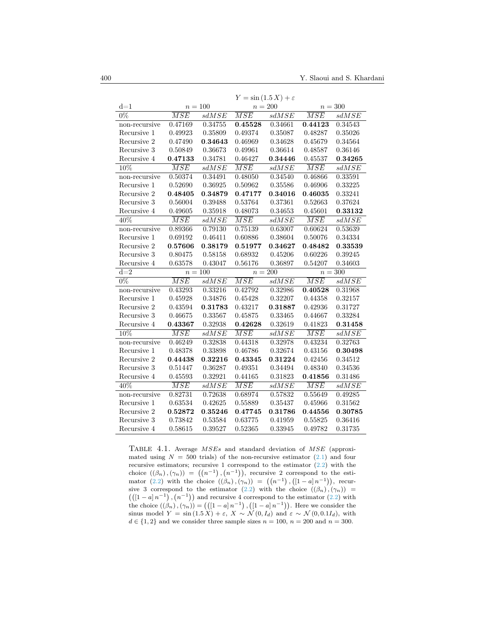|                  | $Y = \sin(1.5 X) + \varepsilon$ |              |                  |         |                  |         |
|------------------|---------------------------------|--------------|------------------|---------|------------------|---------|
| $d=1$            | $n = 100$                       |              | $n = 200$        |         | $n = 300$        |         |
| $\overline{0\%}$ | $\overline{MSE}$                | sdMSE        | $\overline{MSE}$ | sdMSE   | $\overline{MSE}$ | sdMSE   |
| non-recursive    | 0.47169                         | 0.34755      | 0.45528          | 0.34661 | 0.44123          | 0.34543 |
| Recursive 1      | 0.49923                         | 0.35809      | 0.49374          | 0.35087 | 0.48287          | 0.35026 |
| Recursive 2      | 0.47490                         | 0.34643      | 0.46969          | 0.34628 | 0.45679          | 0.34564 |
| Recursive 3      | 0.50849                         | 0.36673      | 0.49961          | 0.36614 | 0.48587          | 0.36146 |
| Recursive 4      | 0.47133                         | 0.34781      | 0.46427          | 0.34446 | 0.45537          | 0.34265 |
| 10%              | $\overline{MSE}$                | sdMSE        | $\overline{MSE}$ | sdMSE   | $\overline{MSE}$ | sdMSE   |
| non-recursive    | 0.50374                         | 0.34491      | 0.48050          | 0.34540 | 0.46866          | 0.33591 |
| Recursive 1      | 0.52690                         | 0.36925      | 0.50962          | 0.35586 | 0.46906          | 0.33225 |
| Recursive 2      | 0.48405                         | 0.34879      | 0.47177          | 0.34016 | 0.46035          | 0.33241 |
| Recursive 3      | 0.56004                         | 0.39488      | 0.53764          | 0.37361 | 0.52663          | 0.37624 |
| Recursive 4      | 0.49605                         | 0.35918      | 0.48073          | 0.34653 | 0.45601          | 0.33132 |
| 40%              | $\overline{MSE}$                | sdMSE        | $\overline{MSE}$ | sdMSE   | $\overline{MSE}$ | sdMSE   |
| non-recursive    | 0.89366                         | 0.79130      | 0.75139          | 0.63007 | 0.60624          | 0.53639 |
| Recursive 1      | 0.69192                         | 0.46411      | 0.60886          | 0.38604 | 0.50076          | 0.34334 |
| Recursive 2      | 0.57606                         | 0.38179      | 0.51977          | 0.34627 | 0.48482          | 0.33539 |
| Recursive 3      | 0.80475                         | 0.58158      | 0.68932          | 0.45206 | 0.60226          | 0.39245 |
| Recursive 4      | 0.63578                         | 0.43047      | 0.56176          | 0.36897 | 0.54207          | 0.34603 |
| $d=\overline{2}$ | $n = 100$                       |              | $n = 200$        |         | $n = 300$        |         |
| $\overline{0\%}$ | $\overline{MSE}$                | sdMSE        | $\overline{MSE}$ | sdMSE   | $\overline{MSE}$ | sdMSE   |
| non-recursive    | 0.43293                         | 0.33216      | 0.42792          | 0.32986 | 0.40528          | 0.31968 |
| Recursive 1      | 0.45928                         | 0.34876      | 0.45428          | 0.32207 | 0.44358          | 0.32157 |
| Recursive 2      | 0.43594                         | 0.31783      | 0.43217          | 0.31887 | 0.42936          | 0.31727 |
| Recursive 3      | 0.46675                         | 0.33567      | 0.45875          | 0.33465 | 0.44667          | 0.33284 |
| Recursive 4      | 0.43367                         | 0.32938      | 0.42628          | 0.32619 | 0.41823          | 0.31458 |
| 10%              | $\overline{MSE}$                | sdMSE        | $\overline{MSE}$ | sdMSE   | $\overline{MSE}$ | sdMSE   |
| $non-recursive$  | 0.46249                         | 0.32838      | 0.44318          | 0.32978 | 0.43234          | 0.32763 |
| Recursive 1      | 0.48378                         | ${ 0.33898}$ | 0.46786          | 0.32674 | 0.43156          | 0.30498 |
| Recursive 2      | 0.44438                         | 0.32216      | 0.43345          | 0.31224 | 0.42456          | 0.34512 |
| Recursive 3      | 0.51447                         | 0.36287      | 0.49351          | 0.34494 | 0.48340          | 0.34536 |
| Recursive 4      | 0.45593                         | 0.32921      | 0.44165          | 0.31823 | 0.41856          | 0.31486 |
| 40%              | $\overline{MSE}$                | sdMSE        | $\overline{MSE}$ | sdMSE   | $\overline{MSE}$ | sdMSE   |
| non-recursive    | 0.82731                         | 0.72638      | 0.68974          | 0.57832 | 0.55649          | 0.49285 |
| Recursive 1      | 0.63534                         | 0.42625      | 0.55889          | 0.35437 | 0.45966          | 0.31562 |
| Recursive 2      | 0.52872                         | 0.35246      | 0.47745          | 0.31786 | 0.44556          | 0.30785 |
| Recursive 3      | 0.73842                         | 0.53584      | 0.63775          | 0.41959 | 0.55825          | 0.36416 |
| Recursive 4      | 0.58615                         | 0.39527      | 0.52365          | 0.33945 | 0.49782          | 0.31735 |

<span id="page-11-0"></span>Table 4.1. Average MSEs and standard deviation of MSE (approximated using  $N = 500$  trials) of the non-recursive estimator  $(2.1)$  and four recursive estimators; recursive 1 correspond to the estimator [\(2.2\)](#page-3-4) with the choice  $((\beta_n),(\gamma_n)) = ((n^{-1}), (n^{-1})),$  recursive 2 correspond to the estimator  $(2.2)$  with the choice  $((\beta_n), (\gamma_n)) = ((n^{-1}), ([1 - a] n^{-1})),$  recur-sive 3 correspond to the estimator [\(2.2\)](#page-3-4) with the choice  $((\beta_n), (\gamma_n))$  =  $((1 - a)n^{-1})$ ,  $(n^{-1})$  and recursive 4 correspond to the estimator [\(2.2\)](#page-3-4) with the choice  $((\beta_n), (\gamma_n)) = (([1 - a] n^{-1}), ([1 - a] n^{-1})).$  Here we consider the sinus model  $Y = \sin(1.5 X) + \varepsilon$ ,  $X \sim \mathcal{N}(0, I_d)$  and  $\varepsilon \sim \mathcal{N}(0, 0.1I_d)$ , with  $d \in \{1, 2\}$  and we consider three sample sizes  $n = 100$ ,  $n = 200$  and  $n = 300$ .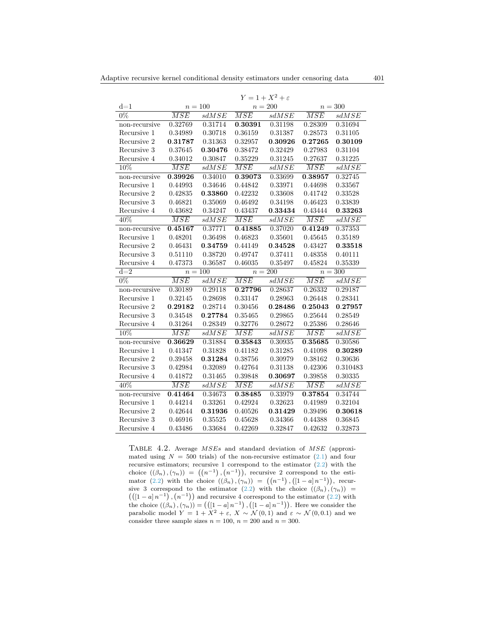|               | $Y=1+X^2+\varepsilon$ |                |                  |         |                  |          |
|---------------|-----------------------|----------------|------------------|---------|------------------|----------|
| $d=1$         | $n=100$               |                | $n = 200$        |         | $n = 300$        |          |
| $0\%$         | $\overline{MSE}$      | sdMSE          | $\overline{MSE}$ | sdMSE   | $\overline{MSE}$ | sdMSE    |
| non-recursive | 0.32769               | 0.31714        | 0.30391          | 0.31198 | 0.28309          | 0.31694  |
| Recursive 1   | 0.34989               | 0.30718        | $0.36159\,$      | 0.31387 | 0.28573          | 0.31105  |
| Recursive 2   | 0.31787               | $\, 0.31363\,$ | 0.32957          | 0.30926 | 0.27265          | 0.30109  |
| Recursive 3   | 0.37645               | 0.30476        | 0.38472          | 0.32429 | 0.27983          | 0.31104  |
| Recursive 4   | 0.34012               | 0.30847        | 0.35229          | 0.31245 | 0.27637          | 0.31225  |
| 10%           | $\overline{MSE}$      | $_{sdMSE}$     | $\overline{MSE}$ | sdMSE   | $\overline{MSE}$ | sdMSE    |
| non-recursive | 0.39926               | 0.34010        | 0.39073          | 0.33699 | 0.38957          | 0.32745  |
| Recursive 1   | 0.44993               | 0.34646        | 0.44842          | 0.33971 | 0.44698          | 0.33567  |
| Recursive 2   | 0.42835               | 0.33860        | 0.42232          | 0.33608 | 0.41742          | 0.33528  |
| Recursive 3   | 0.46821               | 0.35069        | 0.46492          | 0.34198 | 0.46423          | 0.33839  |
| Recursive 4   | 0.43682               | 0.34247        | 0.43437          | 0.33434 | 0.43444          | 0.33263  |
| $40\%$        | $\overline{MSE}$      | sdMSE          | $\overline{MSE}$ | sdMSE   | $\overline{MSE}$ | sdMSE    |
| non-recursive | 0.45167               | 0.37771        | 0.41885          | 0.37020 | 0.41249          | 0.37353  |
| Recursive 1   | 0.48201               | 0.36498        | 0.46823          | 0.35601 | 0.45645          | 0.35189  |
| Recursive 2   | 0.46431               | 0.34759        | 0.44149          | 0.34528 | ${0.43427}$      | 0.33518  |
| Recursive 3   | 0.51110               | 0.38720        | 0.49747          | 0.37411 | 0.48358          | 0.40111  |
| Recursive 4   | 0.47373               | 0.36587        | 0.46035          | 0.35497 | 0.45824          | 0.35339  |
| $d=2$         | $n = 100$             |                | $n=200$          |         | $n = 300$        |          |
| $0\%$         | $\overline{MSE}$      | sdMSE          | $\overline{MSE}$ | sdMSE   | $\overline{MSE}$ | sdMSE    |
| non-recursive | 0.30189               | 0.29118        | 0.27796          | 0.28637 | 0.26332          | 0.29187  |
| Recursive 1   | 0.32145               | 0.28698        | 0.33147          | 0.28963 | 0.26448          | 0.28341  |
| Recursive 2   | 0.29182               | 0.28714        | 0.30456          | 0.28486 | 0.25043          | 0.27957  |
| Recursive 3   | 0.34548               | 0.27784        | 0.35465          | 0.29865 | 0.25644          | 0.28549  |
| Recursive 4   | 0.31264               | 0.28349        | 0.32776          | 0.28672 | 0.25386          | 0.28646  |
| 10%           | $\overline{MSE}$      | sdMSE          | $\overline{MSE}$ | sdMSE   | $\overline{MSE}$ | sdMSE    |
| non-recursive | 0.36629               | 0.31884        | 0.35843          | 0.30935 | 0.35685          | 0.30586  |
| Recursive 1   | 0.41347               | 0.31828        | 0.41182          | 0.31285 | 0.41098          | 0.30289  |
| Recursive 2   | 0.39458               | 0.31284        | 0.38756          | 0.30979 | 0.38162          | 0.30636  |
| Recursive 3   | 0.42984               | 0.32089        | 0.42764          | 0.31138 | 0.42306          | 0.310483 |
| Recursive 4   | 0.41872               | 0.31465        | 0.39848          | 0.30697 | 0.39858          | 0.30335  |
| 40%           | $\overline{MSE}$      | sdMSE          | $\overline{MSE}$ | sdMSE   | $\overline{MSE}$ | sdMSE    |
| non-recursive | 0.41464               | 0.34673        | 0.38485          | 0.33979 | 0.37854          | 0.34744  |
| Recursive 1   | 0.44214               | 0.33261        | 0.42924          | 0.32623 | 0.41989          | 0.32104  |
| Recursive 2   | 0.42644               | 0.31936        | 0.40526          | 0.31429 | 0.39496          | 0.30618  |
| Recursive 3   | 0.46916               | 0.35525        | 0.45628          | 0.34366 | 0.44388          | 0.36845  |
| Recursive 4   | 0.43486               | 0.33684        | 0.42269          | 0.32847 | 0.42632          | 0.32873  |

<span id="page-12-0"></span>Table 4.2. Average MSEs and standard deviation of MSE (approximated using  $N = 500$  trials) of the non-recursive estimator  $(2.1)$  and four recursive estimators; recursive 1 correspond to the estimator [\(2.2\)](#page-3-4) with the choice  $((\beta_n), (\gamma_n)) = ((n^{-1}), (n^{-1})),$  recursive 2 correspond to the esti-mator [\(2.2\)](#page-3-4) with the choice  $((\beta_n), (\gamma_n)) = ((n^{-1}), ([1 - a] n^{-1})),$  recur-sive 3 correspond to the estimator [\(2.2\)](#page-3-4) with the choice  $((\beta_n), (\gamma_n))$  =  $((1 - a)n^{-1})$ ,  $(n^{-1})$  and recursive 4 correspond to the estimator [\(2.2\)](#page-3-4) with the choice  $((\beta_n), (\gamma_n)) = (([1 - a] n^{-1}), ([1 - a] n^{-1})).$  Here we consider the parabolic model  $Y = 1 + X^2 + \varepsilon$ ,  $X \sim \mathcal{N}(0, 1)$  and  $\varepsilon \sim \mathcal{N}(0, 0.1)$  and we consider three sample sizes  $n = 100$ ,  $n = 200$  and  $n = 300$ .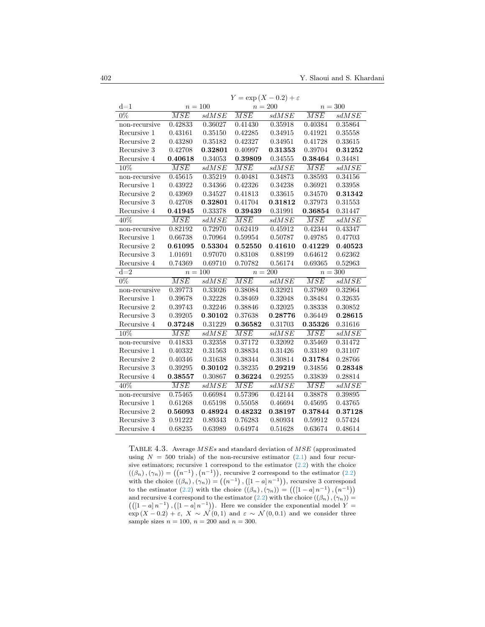|                  |                  |         | Y                | $=\exp(X-0.2)+\varepsilon$ |                  |              |
|------------------|------------------|---------|------------------|----------------------------|------------------|--------------|
| $d=1$            | $n = 100$        |         | $n=200$          |                            | $n=300$          |              |
| $0\%$            | $\overline{MSE}$ | sdMSE   | $\overline{MSE}$ | sdMSE                      | $\overline{MSE}$ | sdMSE        |
| non-recursive    | 0.42833          | 0.36027 | 0.41430          | 0.35918                    | 0.40384          | 0.35864      |
| Recursive 1      | 0.43161          | 0.35150 | 0.42285          | 0.34915                    | 0.41921          | $0.35558\,$  |
| Recursive 2      | 0.43280          | 0.35182 | 0.42327          | 0.34951                    | 0.41728          | 0.33615      |
| Recursive 3      | 0.42708          | 0.32801 | 0.40997          | 0.31353                    | 0.39704          | 0.31252      |
| Recursive 4      | 0.40618          | 0.34053 | 0.39809          | 0.34555                    | 0.38464          | 0.34481      |
| 10%              | $\overline{MSE}$ | sdMSE   | $\overline{MSE}$ | sdMSE                      | $\overline{MSE}$ | sdMSE        |
| non-recursive    | 0.45615          | 0.35219 | 0.40481          | 0.34873                    | 0.38593          | 0.34156      |
| Recursive 1      | 0.43922          | 0.34366 | 0.42326          | 0.34238                    | 0.36921          | 0.33958      |
| Recursive 2      | 0.43969          | 0.34527 | 0.41813          | 0.33615                    | 0.34570          | 0.31342      |
| Recursive 3      | 0.42708          | 0.32801 | 0.41704          | 0.31812                    | 0.37973          | 0.31553      |
| Recursive 4      | 0.41945          | 0.33378 | 0.39439          | 0.31991                    | 0.36854          | 0.31447      |
| 40%              | $\overline{MSE}$ | sdMSE   | $\overline{MSE}$ | sdMSE                      | $\overline{MSE}$ | sdMSE        |
| non-recursive    | 0.82192          | 0.72970 | 0.62419          | 0.45912                    | 0.42344          | 0.43347      |
| Recursive 1      | 0.66738          | 0.70964 | 0.59954          | 0.50787                    | 0.49785          | 0.47703      |
| Recursive 2      | 0.61095          | 0.53304 | 0.52550          | 0.41610                    | 0.41229          | 0.40523      |
| Recursive 3      | 1.01691          | 0.97070 | 0.83108          | 0.88199                    | 0.64612          | 0.62362      |
| Recursive 4      | 0.74369          | 0.69710 | 0.70782          | 0.56174                    | 0.69365          | 0.52963      |
| $d = 2$          |                  | $n=100$ | $n=200$          |                            | $n = 300$        |              |
| $\overline{0\%}$ | $\overline{MSE}$ | sdMSE   | $\overline{MSE}$ | sdMSE                      | $\overline{MSE}$ | sdMSE        |
| non-recursive    | 0.39773          | 0.33026 | 0.38084          | 0.32921                    | 0.37969          | 0.32964      |
| Recursive 1      | 0.39678          | 0.32228 | 0.38469          | 0.32048                    | 0.38484          | 0.32635      |
| Recursive 2      | 0.39743          | 0.32246 | 0.38846          | 0.32025                    | 0.38338          | ${ 0.30852}$ |
| Recursive 3      | 0.39205          | 0.30102 | 0.37638          | 0.28776                    | 0.36449          | 0.28615      |
| Recursive 4      | 0.37248          | 0.31229 | 0.36582          | 0.31703                    | 0.35326          | $0.31616\,$  |
| 10%              | $\overline{MSE}$ | sdMSE   | $\overline{MSE}$ | sdMSE                      | $\overline{MSE}$ | sdMSE        |
| non-recursive    | 0.41833          | 0.32358 | 0.37172          | 0.32092                    | 0.35469          | 0.31472      |
| Recursive 1      | 0.40332          | 0.31563 | 0.38834          | 0.31426                    | 0.33189          | 0.31107      |
| Recursive 2      | 0.40346          | 0.31638 | 0.38344          | 0.30814                    | 0.31784          | 0.28766      |
| Recursive 3      | 0.39295          | 0.30102 | 0.38235          | 0.29219                    | 0.34856          | 0.28348      |
| Recursive 4      | 0.38557          | 0.30867 | 0.36224          | 0.29255                    | 0.33839          | 0.28814      |
| 40%              | $\overline{MSE}$ | sdMSE   | $\overline{MSE}$ | sdMSE                      | $\overline{MSE}$ | sdMSE        |
| non-recursive    | 0.75465          | 0.66984 | 0.57396          | 0.42144                    | 0.38878          | 0.39895      |
| Recursive 1      | 0.61268          | 0.65198 | 0.55058          | 0.46694                    | 0.45695          | 0.43765      |
| Recursive 2      | 0.56093          | 0.48924 | 0.48232          | 0.38197                    | 0.37844          | 0.37128      |
| Recursive 3      | 0.91222          | 0.89343 | 0.76283          | 0.80934                    | 0.59912          | 0.57424      |
| Recursive 4      | 0.68235          | 0.63989 | 0.64974          | 0.51628                    | 0.63674          | 0.48614      |

 $Y = \exp(X - 0.2) + \varepsilon$ 

<span id="page-13-0"></span>TABLE  $4.3$ . Average  $MSEs$  and standard deviation of  $MSE$  (approximated using  $N = 500$  trials) of the non-recursive estimator  $(2.1)$  and four recursive estimators; recursive 1 correspond to the estimator [\(2.2\)](#page-3-4) with the choice  $((\beta_n), (\gamma_n)) = ((n^{-1}), (n^{-1})),$  recursive 2 correspond to the estimator  $(2.2)$ with the choice  $((\beta_n), (\gamma_n)) = ((n^{-1}), ([1 - a] n^{-1})),$  recursive 3 correspond to the estimator [\(2.2\)](#page-3-4) with the choice  $((\beta_n), (\gamma_n)) = (([1 - a] n^{-1}), (n^{-1}))$ and recursive 4 correspond to the estimator [\(2.2\)](#page-3-4) with the choice  $((\beta_n), (\gamma_n)) =$  $((1 - a)n^{-1})$ ,  $(1 - a)n^{-1})$ . Here we consider the exponential model Y =  $\exp(X - 0.2) + \varepsilon$ ,  $X \sim \mathcal{N}(0, 1)$  and  $\varepsilon \sim \mathcal{N}(0, 0.1)$  and we consider three sample sizes  $n = 100$ ,  $n = 200$  and  $n = 300$ .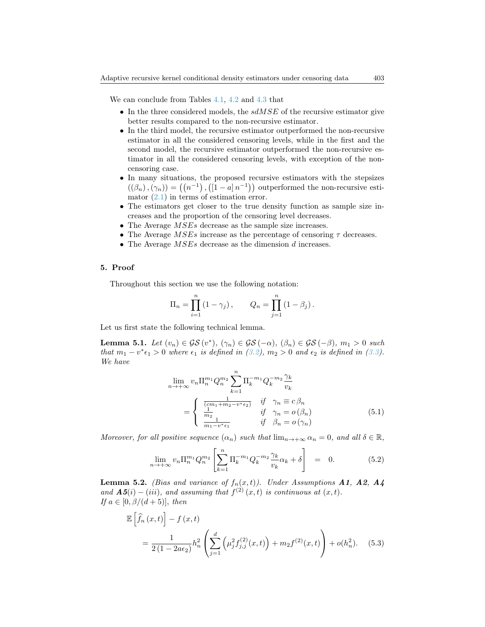We can conclude from Tables [4.1,](#page-11-0) [4.2](#page-12-0) and [4.3](#page-13-0) that

- In the three considered models, the  $sdMSE$  of the recursive estimator give better results compared to the non-recursive estimator.
- In the third model, the recursive estimator outperformed the non-recursive estimator in all the considered censoring levels, while in the first and the second model, the recursive estimator outperformed the non-recursive estimator in all the considered censoring levels, with exception of the noncensoring case.
- In many situations, the proposed recursive estimators with the stepsizes  $((\beta_n),(\gamma_n)) = ((n^{-1}), ((1 - a) n^{-1}))$  outperformed the non-recursive estimator  $(2.1)$  in terms of estimation error.
- The estimators get closer to the true density function as sample size increases and the proportion of the censoring level decreases.
- The Average  $MSEs$  decrease as the sample size increases.
- The Average  $MSEs$  increase as the percentage of censoring  $\tau$  decreases.
- The Average  $MSEs$  decrease as the dimension  $d$  increases.

#### <span id="page-14-0"></span>5. Proof

Throughout this section we use the following notation:

$$
\Pi_n = \prod_{i=1}^n (1 - \gamma_j), \qquad Q_n = \prod_{j=1}^n (1 - \beta_j).
$$

Let us first state the following technical lemma.

<span id="page-14-1"></span>**Lemma 5.1.** Let  $(v_n) \in \mathcal{GS}(v^*)$ ,  $(\gamma_n) \in \mathcal{GS}(-\alpha)$ ,  $(\beta_n) \in \mathcal{GS}(-\beta)$ ,  $m_1 > 0$  such that  $m_1 - v^* \epsilon_1 > 0$  where  $\epsilon_1$  is defined in [\(3.2\)](#page-5-0),  $m_2 > 0$  and  $\epsilon_2$  is defined in [\(3.3\)](#page-5-0). We have

<span id="page-14-3"></span>
$$
\lim_{n \to +\infty} v_n \Pi_n^{m_1} Q_n^{m_2} \sum_{k=1}^n \Pi_k^{-m_1} Q_k^{-m_2} \frac{\gamma_k}{v_k}
$$
\n
$$
= \begin{cases}\n\frac{(\frac{cm_1 + m_2 - v^* \epsilon_2}{m_2})}{\frac{1}{m_2}} & \text{if } \gamma_n = c \beta_n \\
\frac{1}{m_1 - v^* \epsilon_1} & \text{if } \beta_n = o(\gamma_n)\n\end{cases} (5.1)
$$

Moreover, for all positive sequence  $(\alpha_n)$  such that  $\lim_{n\to+\infty} \alpha_n = 0$ , and all  $\delta \in \mathbb{R}$ ,

<span id="page-14-2"></span>
$$
\lim_{n \to +\infty} v_n \Pi_n^{m_1} Q_n^{m_2} \left[ \sum_{k=1}^n \Pi_k^{-m_1} Q_k^{-m_2} \frac{\gamma_k}{v_k} \alpha_k + \delta \right] = 0. \tag{5.2}
$$

<span id="page-14-4"></span>**Lemma 5.2.** (Bias and variance of  $f_n(x,t)$ ). Under Assumptions **A1, A2, A4** and  $\mathbf{A5}(i) - (iii)$ , and assuming that  $f^{(2)}(x,t)$  is continuous at  $(x,t)$ . If  $a \in [0, \beta/(d+5)]$ , then

<span id="page-14-5"></span>
$$
\mathbb{E}\left[\hat{f}_n(x,t)\right] - f(x,t)
$$
\n
$$
= \frac{1}{2(1 - 2a\epsilon_2)} h_n^2 \left(\sum_{j=1}^d \left(\mu_j^2 f_{j,j}^{(2)}(x,t)\right) + m_2 f^{(2)}(x,t)\right) + o(h_n^2). \quad (5.3)
$$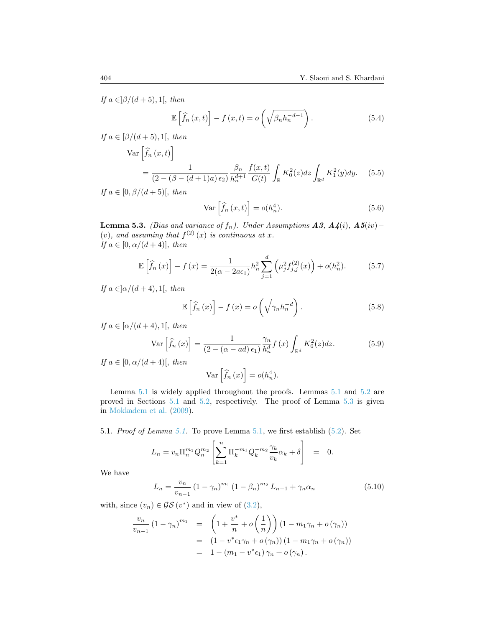If  $a \in ]\beta/(d+5), 1[$ , then

<span id="page-15-3"></span>
$$
\mathbb{E}\left[\hat{f}_n(x,t)\right] - f(x,t) = o\left(\sqrt{\beta_n h_n^{-d-1}}\right). \tag{5.4}
$$

If  $a \in [\beta/(d+5), 1]$ , then

<span id="page-15-4"></span>
$$
\operatorname{Var}\left[\hat{f}_n(x,t)\right]
$$
  
= 
$$
\frac{1}{(2-(\beta-(d+1)a)\epsilon_2)}\frac{\beta_n}{h_n^{d+1}}\frac{f(x,t)}{\overline{G}(t)}\int_{\mathbb{R}}K_0^2(z)dz\int_{\mathbb{R}^d}K_1^2(y)dy.
$$
 (5.5)

If  $a \in [0, \beta/(d+5)],$  then

<span id="page-15-5"></span>
$$
\operatorname{Var}\left[\hat{f}_n\left(x,t\right)\right] = o(h_n^4). \tag{5.6}
$$

<span id="page-15-1"></span>**Lemma 5.3.** (Bias and variance of  $f_n$ ). Under Assumptions **A3**,  $A\mathcal{A}(i)$ ,  $A5(iv)$  – (v), and assuming that  $f^{(2)}(x)$  is continuous at x. If  $a \in [0, \alpha/(d+4)]$ , then

<span id="page-15-6"></span>
$$
\mathbb{E}\left[\hat{f}_n(x)\right] - f(x) = \frac{1}{2(\alpha - 2a\epsilon_1)} h_n^2 \sum_{j=1}^d \left(\mu_j^2 f_{j,j}^{(2)}(x)\right) + o(h_n^2). \tag{5.7}
$$

If  $a \in ]\alpha/(d+4), 1[$ , then

<span id="page-15-7"></span>
$$
\mathbb{E}\left[\hat{f}_n\left(x\right)\right] - f\left(x\right) = o\left(\sqrt{\gamma_n h_n^{-d}}\right). \tag{5.8}
$$

If  $a \in [\alpha/(d+4), 1]$ , then

<span id="page-15-8"></span>
$$
\text{Var}\left[\hat{f}_n\left(x\right)\right] = \frac{1}{\left(2 - \left(\alpha - ad\right)\epsilon_1\right)} \frac{\gamma_n}{h_n^d} f\left(x\right) \int_{\mathbb{R}^d} K_0^2(z) dz. \tag{5.9}
$$

If  $a \in [0, \alpha/(d+4)],$  then

$$
\operatorname{Var}\left[\widehat{f}_n\left(x\right)\right] = o(h_n^4).
$$

Lemma [5.1](#page-14-1) is widely applied throughout the proofs. Lemmas [5.1](#page-14-1) and [5.2](#page-17-1) are proved in Sections [5.1](#page-15-0) and [5.2,](#page-17-1) respectively. The proof of Lemma [5.3](#page-15-1) is given in [Mokkadem et al.](#page-27-16) [\(2009\)](#page-27-16).

<span id="page-15-0"></span>5.1. Proof of Lemma [5.1.](#page-14-1) To prove Lemma [5.1,](#page-14-1) we first establish [\(5.2\)](#page-14-2). Set

$$
L_n = v_n \Pi_n^{m_1} Q_n^{m_2} \left[ \sum_{k=1}^n \Pi_k^{-m_1} Q_k^{-m_2} \frac{\gamma_k}{v_k} \alpha_k + \delta \right] = 0.
$$

We have

<span id="page-15-2"></span>
$$
L_n = \frac{v_n}{v_{n-1}} \left(1 - \gamma_n\right)^{m_1} \left(1 - \beta_n\right)^{m_2} L_{n-1} + \gamma_n \alpha_n \tag{5.10}
$$

with, since  $(v_n) \in \mathcal{GS}(v^*)$  and in view of  $(3.2)$ ,

$$
\frac{v_n}{v_{n-1}} (1 - \gamma_n)^{m_1} = \left( 1 + \frac{v^*}{n} + o\left(\frac{1}{n}\right) \right) (1 - m_1\gamma_n + o(\gamma_n))
$$
  
=  $(1 - v^* \epsilon_1 \gamma_n + o(\gamma_n)) (1 - m_1 \gamma_n + o(\gamma_n))$   
=  $1 - (m_1 - v^* \epsilon_1) \gamma_n + o(\gamma_n).$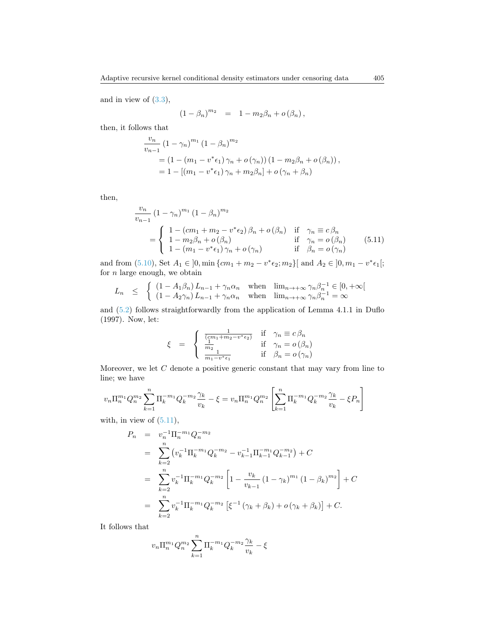and in view of  $(3.3)$ ,

$$
(1 - \beta_n)^{m_2} = 1 - m_2 \beta_n + o(\beta_n),
$$

then, it follows that

$$
\frac{v_n}{v_{n-1}} (1 - \gamma_n)^{m_1} (1 - \beta_n)^{m_2}
$$
  
=  $(1 - (m_1 - v^* \epsilon_1) \gamma_n + o(\gamma_n)) (1 - m_2 \beta_n + o(\beta_n)),$   
=  $1 - [(m_1 - v^* \epsilon_1) \gamma_n + m_2 \beta_n] + o(\gamma_n + \beta_n)$ 

then,

<span id="page-16-0"></span>
$$
\frac{v_n}{v_{n-1}} (1 - \gamma_n)^{m_1} (1 - \beta_n)^{m_2}
$$
\n
$$
= \begin{cases}\n1 - (cm_1 + m_2 - v^* \epsilon_2) \beta_n + o(\beta_n) & \text{if } \gamma_n \equiv c \beta_n \\
1 - m_2 \beta_n + o(\beta_n) & \text{if } \gamma_n = o(\beta_n) \\
1 - (m_1 - v^* \epsilon_1) \gamma_n + o(\gamma_n) & \text{if } \beta_n = o(\gamma_n)\n\end{cases}
$$
\n(5.11)

and from [\(5.10\)](#page-15-2), Set  $A_1 \in [0, \min \{cm_1 + m_2 - v^* \epsilon_2; m_2\}]$  and  $A_2 \in [0, m_1 - v^* \epsilon_1];$ for  $n$  large enough, we obtain

$$
L_n \leq \begin{cases} (1 - A_1 \beta_n) L_{n-1} + \gamma_n \alpha_n & \text{when } \lim_{n \to +\infty} \gamma_n \beta_n^{-1} \in [0, +\infty[\\ (1 - A_2 \gamma_n) L_{n-1} + \gamma_n \alpha_n & \text{when } \lim_{n \to +\infty} \gamma_n \beta_n^{-1} = \infty \end{cases}
$$

and [\(5.2\)](#page-14-2) follows straightforwardly from the application of Lemma 4.1.1 in Duflo (1997). Now, let:

$$
\xi = \begin{cases} \frac{1}{(cm_1 + m_2 - v^* \epsilon_2)} & \text{if } \gamma_n \equiv c \beta_n \\ \frac{1}{m_2} & \text{if } \gamma_n = o(\beta_n) \\ \frac{1}{m_1 - v^* \epsilon_1} & \text{if } \beta_n = o(\gamma_n) \end{cases}
$$

Moreover, we let  $C$  denote a positive generic constant that may vary from line to line; we have

$$
v_n \Pi_n^{m_1} Q_n^{m_2} \sum_{k=1}^n \Pi_k^{-m_1} Q_k^{-m_2} \frac{\gamma_k}{v_k} - \xi = v_n \Pi_n^{m_1} Q_n^{m_2} \left[ \sum_{k=1}^n \Pi_k^{-m_1} Q_k^{-m_2} \frac{\gamma_k}{v_k} - \xi P_n \right]
$$

with, in view of  $(5.11)$ ,

$$
P_n = v_n^{-1} \Pi_n^{-m_1} Q_n^{-m_2}
$$
  
= 
$$
\sum_{k=2}^n (v_k^{-1} \Pi_k^{-m_1} Q_k^{-m_2} - v_{k-1}^{-1} \Pi_{k-1}^{-m_1} Q_{k-1}^{-m_2}) + C
$$
  
= 
$$
\sum_{k=2}^n v_k^{-1} \Pi_k^{-m_1} Q_k^{-m_2} \left[ 1 - \frac{v_k}{v_{k-1}} (1 - \gamma_k)^{m_1} (1 - \beta_k)^{m_2} \right] + C
$$
  
= 
$$
\sum_{k=2}^n v_k^{-1} \Pi_k^{-m_1} Q_k^{-m_2} \left[ \xi^{-1} (\gamma_k + \beta_k) + o(\gamma_k + \beta_k) \right] + C.
$$

It follows that

$$
v_n \Pi_n^{m_1} Q_n^{m_2} \sum_{k=1}^n \Pi_k^{-m_1} Q_k^{-m_2} \frac{\gamma_k}{v_k} - \xi
$$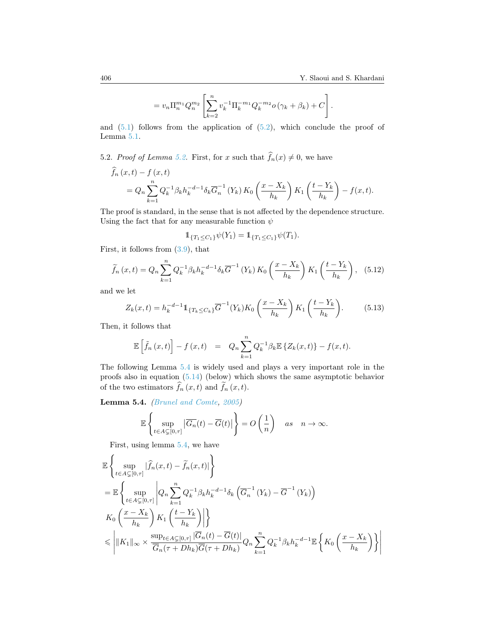$$
= v_n \Pi_n^{m_1} Q_n^{m_2} \left[ \sum_{k=2}^n v_k^{-1} \Pi_k^{-m_1} Q_k^{-m_2} o(\gamma_k + \beta_k) + C \right].
$$

and  $(5.1)$  follows from the application of  $(5.2)$ , which conclude the proof of Lemma [5.1.](#page-14-1)

<span id="page-17-1"></span>5.2. *Proof of Lemma 5.2.* First, for x such that 
$$
f_n(x) \neq 0
$$
, we have

$$
\begin{split} f_n(x,t) - f(x,t) \\ &= Q_n \sum_{k=1}^n Q_k^{-1} \beta_k h_k^{-d-1} \delta_k \overline{G}_n^{-1} \left( Y_k \right) K_0 \left( \frac{x - X_k}{h_k} \right) K_1 \left( \frac{t - Y_k}{h_k} \right) - f(x,t). \end{split}
$$

The proof is standard, in the sense that is not affected by the dependence structure. Using the fact that for any measurable function  $\psi$ 

$$
1\!\!1_{\{T_1\leq C_1\}}\psi(Y_1)=1\!\!1_{\{T_1\leq C_1\}}\psi(T_1).
$$

First, it follows from [\(3.9\)](#page-8-0), that

$$
\widetilde{f}_n(x,t) = Q_n \sum_{k=1}^n Q_k^{-1} \beta_k h_k^{-d-1} \delta_k \overline{G}^{-1} (Y_k) K_0 \left( \frac{x - X_k}{h_k} \right) K_1 \left( \frac{t - Y_k}{h_k} \right), \quad (5.12)
$$

and we let

<span id="page-17-2"></span>
$$
Z_k(x,t) = h_k^{-d-1} \mathbb{1}_{\{T_k \le C_k\}} \overline{G}^{-1}(Y_k) K_0\left(\frac{x - X_k}{h_k}\right) K_1\left(\frac{t - Y_k}{h_k}\right). \tag{5.13}
$$

Then, it follows that

$$
\mathbb{E}\left[\tilde{f}_n(x,t)\right] - f(x,t) = Q_n \sum_{k=1}^n Q_k^{-1} \beta_k \mathbb{E}\left\{Z_k(x,t)\right\} - f(x,t).
$$

The following Lemma [5.4](#page-17-0) is widely used and plays a very important role in the proofs also in equation [\(5.14\)](#page-18-0) (below) which shows the same asymptotic behavior of the two estimators  $\hat{f}_n(x, t)$  and  $\tilde{f}_n(x, t)$ .

<span id="page-17-0"></span>Lemma 5.4. [\(Brunel and Comte,](#page-25-8) [2005\)](#page-25-8)

$$
\mathbb{E}\left\{\sup_{t\in A\subsetneq[0,\tau]}|\overline{G_n}(t)-\overline{G}(t)|\right\}=O\left(\frac{1}{n}\right)\quad as\quad n\to\infty.
$$

First, using lemma [5.4,](#page-17-0) we have

$$
\mathbb{E}\left\{\sup_{t\in A\subsetneq[0,\tau]}|\widehat{f}_n(x,t)-\widetilde{f}_n(x,t)|\right\}
$$
\n
$$
=\mathbb{E}\left\{\sup_{t\in A\subsetneq[0,\tau]}|Q_n\sum_{k=1}^n Q_k^{-1}\beta_k h_k^{-d-1}\delta_k(\overline{G}_n^{-1}(Y_k)-\overline{G}^{-1}(Y_k))\right\}
$$
\n
$$
K_0\left(\frac{x-X_k}{h_k}\right)K_1\left(\frac{t-Y_k}{h_k}\right)\right\}
$$
\n
$$
\leq \left|\|K_1\|_{\infty}\times\frac{\sup_{t\in A\subsetneq[0,\tau]}|\overline{G}_n(t)-\overline{G}(t)|}{\overline{G}_n(\tau+Dh_k)\overline{G}(\tau+Dh_k)}Q_n\sum_{k=1}^n Q_k^{-1}\beta_k h_k^{-d-1}\mathbb{E}\left\{K_0\left(\frac{x-X_k}{h_k}\right)\right\}\right|
$$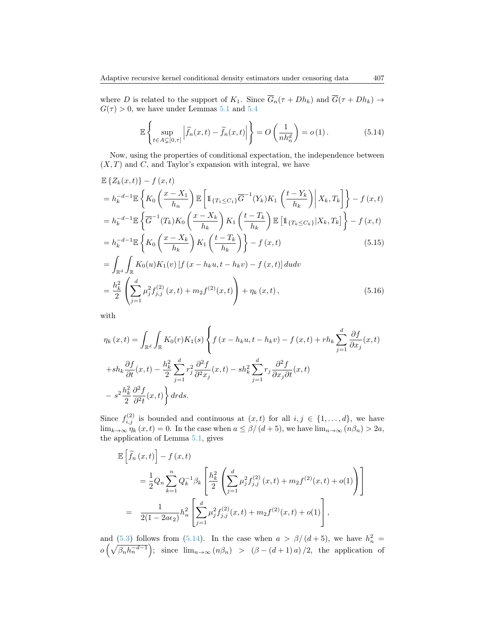where D is related to the support of  $K_1$ . Since  $\overline{G}_n(\tau + Dh_k)$  and  $\overline{G}(\tau + Dh_k) \to$  $G(\tau) > 0$ , we have under Lemmas [5.1](#page-14-1) and [5.4](#page-17-0)

<span id="page-18-1"></span><span id="page-18-0"></span>
$$
\mathbb{E}\left\{\sup_{t\in A\subsetneq[0,\tau]}\left|\widehat{f}_n(x,t)-\widetilde{f}_n(x,t)\right|\right\}=O\left(\frac{1}{nh_n^d}\right)=o\left(1\right).
$$
 (5.14)

Now, using the properties of conditional expectation, the independence between  $(X, T)$  and  $C$ , and Taylor's expansion with integral, we have

$$
\mathbb{E}\left\{Z_{k}(x,t)\right\} - f\left(x,t\right)
$$
\n
$$
= h_{k}^{-d-1}\mathbb{E}\left\{K_{0}\left(\frac{x-X_{1}}{h_{n}}\right)\mathbb{E}\left[\mathbb{1}_{\{T_{1}\leq C_{1}\}}\overline{G}^{-1}(Y_{k})K_{1}\left(\frac{t-Y_{k}}{h_{k}}\right)\middle|X_{k},T_{k}\right]\right\} - f\left(x,t\right)
$$
\n
$$
= h_{k}^{-d-1}\mathbb{E}\left\{\overline{G}^{-1}(T_{k})K_{0}\left(\frac{x-X_{k}}{h_{k}}\right)K_{1}\left(\frac{t-T_{k}}{h_{k}}\right)\mathbb{E}\left[\mathbb{1}_{\{T_{k}\leq C_{k}\}}|X_{k},T_{k}\right]\right\} - f\left(x,t\right)
$$
\n
$$
= h_{k}^{-d-1}\mathbb{E}\left\{K_{0}\left(\frac{x-X_{k}}{h_{k}}\right)K_{1}\left(\frac{t-T_{k}}{h_{k}}\right)\right\} - f\left(x,t\right)
$$
\n
$$
= \int_{-\infty}^{\infty} \int_{-\infty}^{+\infty} K_{0}(y)K_{1}(y)\left[f\left(x-b_{k}, y-t-b_{k} y\right)-f\left(x-t\right)\right]dxdy
$$
\n(5.15)

<span id="page-18-2"></span>
$$
= \int_{\mathbb{R}^d} \int_{\mathbb{R}} K_0(u) K_1(v) \left[ f(x - h_k u, t - h_k v) - f(x, t) \right] du dv
$$
  

$$
= \frac{h_k^2}{2} \left( \sum_{j=1}^d \mu_j^2 f_{j,j}^{(2)}(x, t) + m_2 f^{(2)}(x, t) \right) + \eta_k(x, t), \qquad (5.16)
$$

with

$$
\eta_k(x,t) = \int_{\mathbb{R}^d} \int_{\mathbb{R}} K_0(r)K_1(s) \left\{ f(x - h_k u, t - h_k v) - f(x,t) + rh_k \sum_{j=1}^d \frac{\partial f}{\partial x_j}(x,t) \right\}
$$

$$
+ sh_k \frac{\partial f}{\partial t}(x,t) - \frac{h_k^2}{2} \sum_{j=1}^d r_j^2 \frac{\partial^2 f}{\partial^2 x_j}(x,t) - sh_k^2 \sum_{j=1}^d r_j \frac{\partial^2 f}{\partial x_j \partial t}(x,t)
$$

$$
- s^2 \frac{h_k^2}{2} \frac{\partial^2 f}{\partial^2 t}(x,t) \right\} dr ds.
$$

Since  $f_{i,j}^{(2)}$  is bounded and continuous at  $(x,t)$  for all  $i,j \in \{1,\ldots,d\}$ , we have  $\lim_{k\to\infty}\eta_k(x,t)=0.$  In the case when  $a\leq \beta/(d+5)$ , we have  $\lim_{n\to\infty}(n\beta_n)>2a$ , the application of Lemma [5.1,](#page-14-1) gives

$$
\mathbb{E}\left[\tilde{f}_n(x,t)\right] - f(x,t)
$$
\n
$$
= \frac{1}{2}Q_n \sum_{k=1}^n Q_k^{-1} \beta_k \left[ \frac{h_k^2}{2} \left( \sum_{j=1}^d \mu_j^2 f_{j,j}^{(2)}(x,t) + m_2 f^{(2)}(x,t) + o(1) \right) \right]
$$
\n
$$
= \frac{1}{2(1 - 2a\epsilon_2)} h_n^2 \left[ \sum_{j=1}^d \mu_j^2 f_{j,j}^{(2)}(x,t) + m_2 f^{(2)}(x,t) + o(1) \right],
$$

and [\(5.3\)](#page-14-5) follows from [\(5.14\)](#page-18-0). In the case when  $a > \beta/(d+5)$ , we have  $h_n^2 =$  $o\left(\sqrt{\beta_n h_n^{-d-1}}\right);$  since  $\lim_{n\to\infty} (n\beta_n) > (\beta - (d+1)a)/2$ , the application of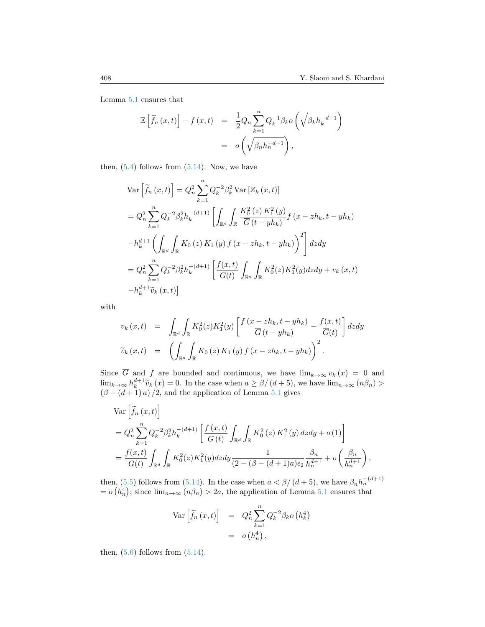Lemma [5.1](#page-14-1) ensures that

$$
\mathbb{E}\left[\widetilde{f}_n(x,t)\right] - f(x,t) = \frac{1}{2}Q_n \sum_{k=1}^n Q_k^{-1} \beta_k o\left(\sqrt{\beta_k h_k^{-d-1}}\right)
$$

$$
= o\left(\sqrt{\beta_n h_n^{-d-1}}\right),
$$

then,  $(5.4)$  follows from  $(5.14)$ . Now, we have

$$
\begin{split}\n\text{Var}\left[\tilde{f}_{n}\left(x,t\right)\right] &= Q_{n}^{2} \sum_{k=1}^{n} Q_{k}^{-2} \beta_{k}^{2} \text{Var}\left[Z_{k}\left(x,t\right)\right] \\
&= Q_{n}^{2} \sum_{k=1}^{n} Q_{k}^{-2} \beta_{k}^{2} h_{k}^{-(d+1)} \left[\int_{\mathbb{R}^{d}} \int_{\mathbb{R}} \frac{K_{0}^{2}\left(z\right) K_{1}^{2}\left(y\right)}{\overline{G}\left(t-yh_{k}\right)} f\left(x-zh_{k}, t-yh_{k}\right)\right. \\
&\left.- h_{k}^{d+1} \left(\int_{\mathbb{R}^{d}} \int_{\mathbb{R}} K_{0}\left(z\right) K_{1}\left(y\right) f\left(x-zh_{k}, t-yh_{k}\right)\right)^{2}\right] dz dy \\
&= Q_{n}^{2} \sum_{k=1}^{n} Q_{k}^{-2} \beta_{k}^{2} h_{k}^{-(d+1)} \left[\frac{f(x,t)}{\overline{G}(t)} \int_{\mathbb{R}^{d}} \int_{\mathbb{R}} K_{0}^{2}(z) K_{1}^{2}(y) dz dy + v_{k}\left(x,t\right)\right. \\
&\left.- h_{k}^{d+1} \widetilde{v}_{k}\left(x,t\right)\right]\n\end{split}
$$

with

$$
v_k(x,t) = \int_{\mathbb{R}^d} \int_{\mathbb{R}} K_0^2(z) K_1^2(y) \left[ \frac{f(x - zh_k, t - yh_k)}{\overline{G}(t - yh_k)} - \frac{f(x,t)}{\overline{G}(t)} \right] dz dy
$$
  

$$
\widetilde{v}_k(x,t) = \left( \int_{\mathbb{R}^d} \int_{\mathbb{R}} K_0(z) K_1(y) f(x - zh_k, t - yh_k) \right)^2.
$$

Since G and f are bounded and continuous, we have  $\lim_{k\to\infty} v_k(x) = 0$  and  $\lim_{k\to\infty} h_k^{d+1} \tilde{v}_k(x) = 0$ . In the case when  $a \ge \beta/(d+5)$ , we have  $\lim_{n\to\infty} (n\beta_n) > (\beta - (d+1) a)/2$ , and the application of Lemma [5.1](#page-14-1) gives

$$
\begin{split} &\text{Var}\left[\tilde{f}_{n}\left(x,t\right)\right] \\ &=Q_{n}^{2}\sum_{k=1}^{n}Q_{k}^{-2}\beta_{k}^{2}h_{k}^{-(d+1)}\left[\frac{f\left(x,t\right)}{\overline{G}\left(t\right)}\int_{\mathbb{R}^{d}}\int_{\mathbb{R}}K_{0}^{2}\left(z\right)K_{1}^{2}\left(y\right)dzdy+o\left(1\right)\right] \\ &=\frac{f(x,t)}{\overline{G}(t)}\int_{\mathbb{R}^{d}}\int_{\mathbb{R}}K_{0}^{2}(z)K_{1}^{2}(y)dzdy\frac{1}{\left(2-(\beta-(d+1)a)\epsilon_{2}\right)}\frac{\beta_{n}}{h_{n}^{d+1}}+o\left(\frac{\beta_{n}}{h_{n}^{d+1}}\right), \end{split}
$$

then, [\(5.5\)](#page-15-4) follows from [\(5.14\)](#page-18-0). In the case when  $a < \beta/(d+5)$ , we have  $\beta_n h_n^{-(d+1)}$  $= o(h_n^4);$  since  $\lim_{n\to\infty} (n\beta_n) > 2a$ , the application of Lemma [5.1](#page-14-1) ensures that

$$
\begin{array}{rcl} \text{Var}\left[\widetilde{f}_n\left(x,t\right)\right] & = & Q_n^2 \sum_{k=1}^n Q_k^{-2} \beta_k o\left(h_k^4\right) \\ & = & o\left(h_n^4\right), \end{array}
$$

then,  $(5.6)$  follows from  $(5.14)$ .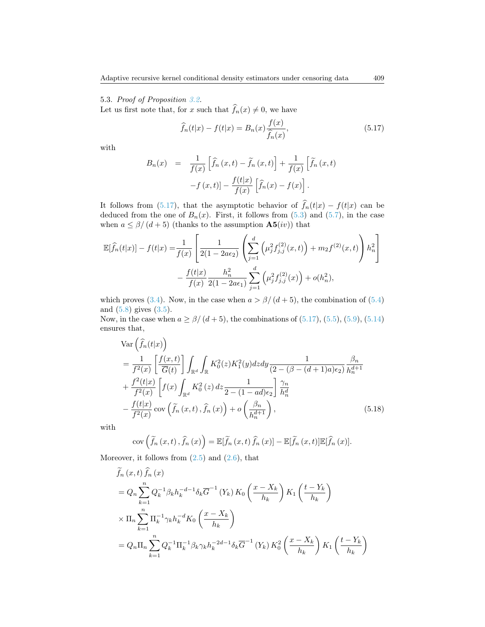## 5.3. Proof of Proposition [3.2.](#page-6-0)

Let us first note that, for x such that  $\widehat{f}_n(x) \neq 0$ , we have

<span id="page-20-0"></span>
$$
\widehat{f}_n(t|x) - f(t|x) = B_n(x) \frac{f(x)}{\widehat{f}_n(x)},
$$
\n(5.17)

with

$$
B_n(x) = \frac{1}{f(x)} \left[ \hat{f}_n(x,t) - \tilde{f}_n(x,t) \right] + \frac{1}{f(x)} \left[ \tilde{f}_n(x,t) - f(x,t) \right] - \frac{f(t|x)}{f(x)} \left[ \hat{f}_n(x) - f(x) \right].
$$

It follows from [\(5.17\)](#page-20-0), that the asymptotic behavior of  $f_n(t|x) - f(t|x)$  can be deduced from the one of  $B_n(x)$ . First, it follows from  $(5.3)$  and  $(5.7)$ , in the case when  $a \leq \beta/(d+5)$  (thanks to the assumption  $\mathbf{A5}(iv)$ ) that

$$
\mathbb{E}[\widehat{f}_n(t|x)] - f(t|x) = \frac{1}{f(x)} \left[ \frac{1}{2(1 - 2a\epsilon_2)} \left( \sum_{j=1}^d \left( \mu_j^2 f_{j,j}^{(2)}(x, t) \right) + m_2 f^{(2)}(x, t) \right) h_n^2 \right] - \frac{f(t|x)}{f(x)} \frac{h_n^2}{2(1 - 2a\epsilon_1)} \sum_{j=1}^d \left( \mu_j^2 f_{j,j}^{(2)}(x) \right) + o(h_n^2),
$$

which proves [\(3.4\)](#page-6-1). Now, in the case when  $a > \beta/(d+5)$ , the combination of [\(5.4\)](#page-15-3) and [\(5.8\)](#page-15-7) gives (3.[5\)](#page-6-2).

Now, in the case when  $a \ge \frac{\beta}{d+5}$ , the combinations of  $(5.17)$ ,  $(5.5)$ ,  $(5.9)$ ,  $(5.14)$ ensures that,

$$
\begin{split} &\text{Var}\left(\widehat{f}_{n}(t|x)\right) \\ &= \frac{1}{f^{2}(x)} \left[\frac{f(x,t)}{\overline{G}(t)}\right] \int_{\mathbb{R}^{d}} \int_{\mathbb{R}} K_{0}^{2}(z) K_{1}^{2}(y) dz dy \frac{1}{(2 - (\beta - (d+1)a)\epsilon_{2})} \frac{\beta_{n}}{h_{n}^{d+1}} \\ &+ \frac{f^{2}(t|x)}{f^{2}(x)} \left[f(x) \int_{\mathbb{R}^{d}} K_{0}^{2}(z) dz \frac{1}{2 - (1 - ad)\epsilon_{2}}\right] \frac{\gamma_{n}}{h_{n}^{d}} \\ &- \frac{f(t|x)}{f^{2}(x)} \cos\left(\widetilde{f}_{n}(x,t), \widehat{f}_{n}(x)\right) + o\left(\frac{\beta_{n}}{h_{n}^{d+1}}\right), \end{split} \tag{5.18}
$$

with

<span id="page-20-1"></span>
$$
cov\left(\widetilde{f}_{n}(x,t),\widehat{f}_{n}(x)\right)=\mathbb{E}[\widetilde{f}_{n}(x,t)\,\widehat{f}_{n}(x)]-\mathbb{E}[\widetilde{f}_{n}(x,t)]\mathbb{E}[\widehat{f}_{n}(x)].
$$

Moreover, it follows from  $(2.5)$  and  $(2.6)$ , that

$$
f_n(x, t) f_n(x)
$$
  
=  $Q_n \sum_{k=1}^n Q_k^{-1} \beta_k h_k^{-d-1} \delta_k \overline{G}^{-1} (Y_k) K_0 \left( \frac{x - X_k}{h_k} \right) K_1 \left( \frac{t - Y_k}{h_k} \right)$   

$$
\times \Pi_n \sum_{k=1}^n \Pi_k^{-1} \gamma_k h_k^{-d} K_0 \left( \frac{x - X_k}{h_k} \right)
$$
  
=  $Q_n \Pi_n \sum_{k=1}^n Q_k^{-1} \Pi_k^{-1} \beta_k \gamma_k h_k^{-2d-1} \delta_k \overline{G}^{-1} (Y_k) K_0^2 \left( \frac{x - X_k}{h_k} \right) K_1 \left( \frac{t - Y_k}{h_k} \right)$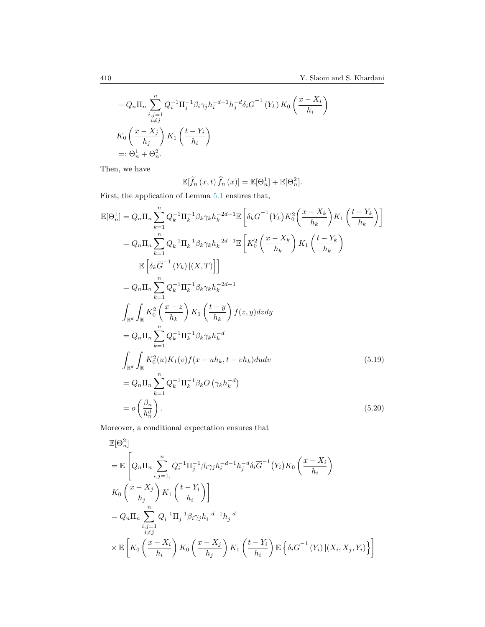$$
+ Q_n \Pi_n \sum_{\substack{i,j=1 \ i \neq j}}^n Q_i^{-1} \Pi_j^{-1} \beta_i \gamma_j h_i^{-d-1} h_j^{-d} \delta_i \overline{G}^{-1} (Y_k) K_0 \left( \frac{x - X_i}{h_i} \right)
$$
  

$$
K_0 \left( \frac{x - X_j}{h_j} \right) K_1 \left( \frac{t - Y_i}{h_i} \right)
$$
  
=:  $\Theta_n^1 + \Theta_n^2$ .

Then, we have

<span id="page-21-0"></span>
$$
\mathbb{E}[\widetilde{f}_n(x,t)\,\widehat{f}_n(x)] = \mathbb{E}[\Theta_n^1] + \mathbb{E}[\Theta_n^2].
$$

First, the application of Lemma [5.1](#page-14-1) ensures that,

$$
\mathbb{E}[\Theta_{n}^{1}] = Q_{n} \Pi_{n} \sum_{k=1}^{n} Q_{k}^{-1} \Pi_{k}^{-1} \beta_{k} \gamma_{k} h_{k}^{-2d-1} \mathbb{E} \left[ \delta_{k} \overline{G}^{-1} (Y_{k}) K_{0}^{2} \left( \frac{x - X_{k}}{h_{k}} \right) K_{1} \left( \frac{t - Y_{k}}{h_{k}} \right) \right]
$$
  
\n
$$
= Q_{n} \Pi_{n} \sum_{k=1}^{n} Q_{k}^{-1} \Pi_{k}^{-1} \beta_{k} \gamma_{k} h_{k}^{-2d-1} \mathbb{E} \left[ K_{0}^{2} \left( \frac{x - X_{k}}{h_{k}} \right) K_{1} \left( \frac{t - Y_{k}}{h_{k}} \right) \right]
$$
  
\n
$$
\mathbb{E} \left[ \delta_{k} \overline{G}^{-1} (Y_{k}) | (X, T) \right]
$$
  
\n
$$
= Q_{n} \Pi_{n} \sum_{k=1}^{n} Q_{k}^{-1} \Pi_{k}^{-1} \beta_{k} \gamma_{k} h_{k}^{-2d-1}
$$
  
\n
$$
\int_{\mathbb{R}^{d}} \int_{\mathbb{R}} K_{0}^{2} \left( \frac{x - z}{h_{k}} \right) K_{1} \left( \frac{t - y}{h_{k}} \right) f(z, y) dz dy
$$
  
\n
$$
= Q_{n} \Pi_{n} \sum_{k=1}^{n} Q_{k}^{-1} \Pi_{k}^{-1} \beta_{k} \gamma_{k} h_{k}^{-d}
$$
  
\n
$$
\int_{\mathbb{R}^{d}} \int_{\mathbb{R}} K_{0}^{2}(u) K_{1}(v) f(x - uh_{k}, t - vh_{k}) du dv
$$
  
\n
$$
= Q_{n} \Pi_{n} \sum_{k=1}^{n} Q_{k}^{-1} \Pi_{k}^{-1} \beta_{k} O \left( \gamma_{k} h_{k}^{-d} \right)
$$
  
\n
$$
= Q \left( \frac{\beta_{n}}{h_{n}^{d}} \right).
$$
  
\n(5.20)

Moreover, a conditional expectation ensures that

$$
\mathbb{E}[\Theta_n^2]
$$
\n
$$
= \mathbb{E}\left[Q_n \Pi_n \sum_{i,j=1}^n Q_i^{-1} \Pi_j^{-1} \beta_i \gamma_j h_i^{-d-1} h_j^{-d} \delta_i \overline{G}^{-1}(Y_i) K_0\left(\frac{x - X_i}{h_i}\right) \right]
$$
\n
$$
K_0\left(\frac{x - X_j}{h_j}\right) K_1\left(\frac{t - Y_i}{h_i}\right)
$$
\n
$$
= Q_n \Pi_n \sum_{\substack{i,j=1 \ i \neq j}}^n Q_i^{-1} \Pi_j^{-1} \beta_i \gamma_j h_i^{-d-1} h_j^{-d}
$$
\n
$$
\times \mathbb{E}\left[K_0\left(\frac{x - X_i}{h_i}\right) K_0\left(\frac{x - X_j}{h_j}\right) K_1\left(\frac{t - Y_i}{h_i}\right) \mathbb{E}\left\{\delta_i \overline{G}^{-1}(Y_i) | (X_i, X_j, Y_i)\right\}\right]
$$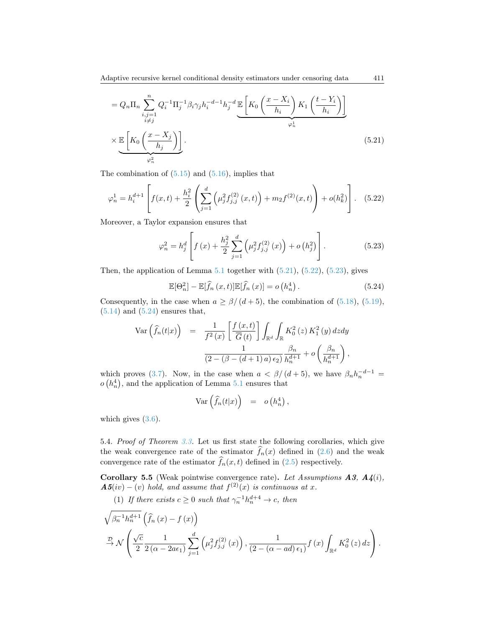$$
= Q_n \Pi_n \sum_{\substack{i,j=1 \ i \neq j}}^n Q_i^{-1} \Pi_j^{-1} \beta_i \gamma_j h_i^{-d-1} h_j^{-d} \mathbb{E} \left[ K_0 \left( \frac{x - X_i}{h_i} \right) K_1 \left( \frac{t - Y_i}{h_i} \right) \right]
$$

$$
\times \underbrace{\mathbb{E} \left[ K_0 \left( \frac{x - X_j}{h_j} \right) \right]}_{\varphi_n^2} .
$$
 (5.21)

The combination of  $(5.15)$  and  $(5.16)$ , implies that

<span id="page-22-1"></span>
$$
\varphi_n^1 = h_i^{d+1} \left[ f(x,t) + \frac{h_i^2}{2} \left( \sum_{j=1}^d \left( \mu_j^2 f_{j,j}^{(2)}(x,t) \right) + m_2 f^{(2)}(x,t) \right) + o(h_k^2) \right].
$$
 (5.22)

Moreover, a Taylor expansion ensures that

<span id="page-22-2"></span><span id="page-22-0"></span>
$$
\varphi_n^2 = h_j^d \left[ f(x) + \frac{h_j^2}{2} \sum_{j=1}^d \left( \mu_j^2 f_{j,j}^{(2)}(x) \right) + o\left( h_j^2 \right) \right]. \tag{5.23}
$$

Then, the application of Lemma  $5.1$  together with  $(5.21)$ ,  $(5.22)$ ,  $(5.23)$ , gives

<span id="page-22-3"></span>
$$
\mathbb{E}[\Theta_n^2] - \mathbb{E}[\widehat{f}_n(x,t)]\mathbb{E}[\widehat{f}_n(x)] = o\left(h_n^4\right). \tag{5.24}
$$

Consequently, in the case when  $a \geq \frac{\beta}{d+5}$ , the combination of [\(5.18\)](#page-20-1), [\(5.19\)](#page-21-0),  $(5.14)$  and  $(5.24)$  ensures that,

$$
\begin{array}{rcl}\n\text{Var}\left(\widehat{f}_{n}(t|x)\right) & = & \displaystyle\frac{1}{f^{2}\left(x\right)}\left[\frac{f\left(x,t\right)}{\overline{G}\left(t\right)}\right]\int_{\mathbb{R}^{d}}\int_{\mathbb{R}}K_{0}^{2}\left(z\right)K_{1}^{2}\left(y\right)dzdy \\
& & \displaystyle\frac{1}{\left(2-\left(\beta-(d+1)\,a\right)\epsilon_{2}\right)}\frac{\beta_{n}}{h_{n}^{d+1}}+o\left(\frac{\beta_{n}}{h_{n}^{d+1}}\right),\n\end{array}
$$

which proves [\(3.7\)](#page-6-3). Now, in the case when  $a < \beta/(d+5)$ , we have  $\beta_n h_n^{-d-1} =$  $o(h_n^4)$ , and the application of Lemma [5.1](#page-14-1) ensures that

$$
\operatorname{Var}\left(\widehat{f}_n(t|x)\right) = o\left(h_n^4\right),\,
$$

which gives  $(3.6)$ .

5.4. Proof of Theorem [3.3.](#page-6-5) Let us first state the following corollaries, which give the weak convergence rate of the estimator  $f_n(x)$  defined in [\(2.6\)](#page-4-3) and the weak convergence rate of the estimator  $\widehat{f}_n(x, t)$  defined in [\(2.5\)](#page-4-1) respectively.

<span id="page-22-4"></span>Corollary 5.5 (Weak pointwise convergence rate). Let Assumptions  $A3, A4(i)$ ,  $\boldsymbol{A5}(iv)-(v)$  hold, and assume that  $f^{(2)}(x)$  is continuous at x.

(1) If there exists  $c \geq 0$  such that  $\gamma_n^{-1} h_n^{d+4} \to c$ , then

$$
\sqrt{\beta_n^{-1}h_n^{d+1}} \left( \hat{f}_n(x) - f(x) \right)
$$
  
\n
$$
\stackrel{\mathcal{D}}{\rightarrow} \mathcal{N} \left( \frac{\sqrt{c}}{2} \frac{1}{2(\alpha - 2a\epsilon_1)} \sum_{j=1}^d \left( \mu_j^2 f_{j,j}^{(2)}(x) \right), \frac{1}{(2 - (\alpha - ad)\epsilon_1)} f(x) \int_{\mathbb{R}^d} K_0^2(z) dz \right).
$$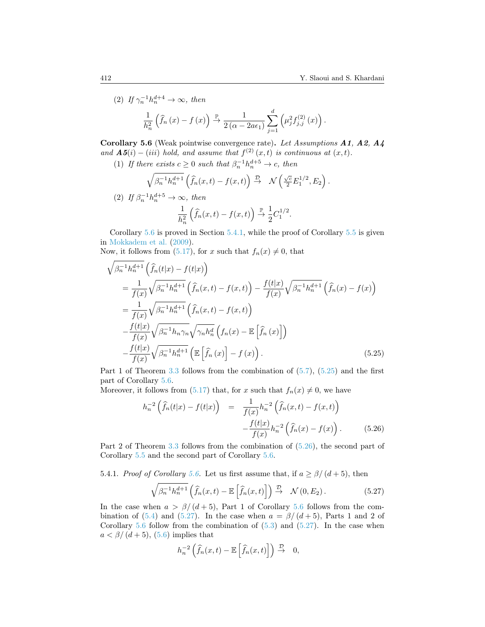$\big)$  .

(2) If 
$$
\gamma_n^{-1} h_n^{d+4} \to \infty
$$
, then  
\n
$$
\frac{1}{h_n^2} \left( \hat{f}_n(x) - f(x) \right) \xrightarrow{\mathbb{P}} \frac{1}{2(\alpha - 2a\epsilon_1)} \sum_{j=1}^d \left( \mu_j^2 f_{j,j}^{(2)}(x) \right)
$$

<span id="page-23-0"></span>Corollary 5.6 (Weak pointwise convergence rate). Let Assumptions A1, A2, A4 and  $\mathbf{A5}(i) - (iii)$  hold, and assume that  $f^{(2)}(x,t)$  is continuous at  $(x,t)$ .

(1) If there exists  $c \geq 0$  such that  $\beta_n^{-1} h_n^{d+5} \to c$ , then

$$
\sqrt{\beta_n^{-1}h_n^{d+1}}\left(\widehat{f}_n(x,t)-f(x,t)\right) \stackrel{\mathcal{D}}{\rightarrow} \mathcal{N}\left(\frac{\sqrt{c}}{2}E_1^{1/2},E_2\right).
$$

(2) If 
$$
\beta_n^{-1}h_n^{d+5} \to \infty
$$
, then  
\n
$$
\frac{1}{h_n^2} \left( \widehat{f}_n(x,t) - f(x,t) \right) \stackrel{\mathbb{P}}{\to} \frac{1}{2} C_1^{1/2}.
$$

Corollary  $5.6$  is proved in Section  $5.4.1$ , while the proof of Corollary  $5.5$  is given in [Mokkadem et al.](#page-27-16) [\(2009\)](#page-27-16).

Now, it follows from [\(5.17\)](#page-20-0), for x such that  $f_n(x) \neq 0$ , that

<span id="page-23-2"></span>
$$
\sqrt{\beta_n^{-1}h_n^{d+1}} \left( \hat{f}_n(t|x) - f(t|x) \right)
$$
\n
$$
= \frac{1}{f(x)} \sqrt{\beta_n^{-1}h_n^{d+1}} \left( \hat{f}_n(x,t) - f(x,t) \right) - \frac{f(t|x)}{f(x)} \sqrt{\beta_n^{-1}h_n^{d+1}} \left( \hat{f}_n(x) - f(x) \right)
$$
\n
$$
= \frac{1}{f(x)} \sqrt{\beta_n^{-1}h_n^{d+1}} \left( \hat{f}_n(x,t) - f(x,t) \right)
$$
\n
$$
- \frac{f(t|x)}{f(x)} \sqrt{\beta_n^{-1}h_n \gamma_n} \sqrt{\gamma_n h_n^d} \left( f_n(x) - \mathbb{E} \left[ \hat{f}_n(x) \right] \right)
$$
\n
$$
- \frac{f(t|x)}{f(x)} \sqrt{\beta_n^{-1}h_n^{d+1}} \left( \mathbb{E} \left[ \hat{f}_n(x) \right] - f(x) \right). \tag{5.25}
$$

Part 1 of Theorem [3.3](#page-6-5) follows from the combination of  $(5.7)$ ,  $(5.25)$  and the first part of Corollary [5.6.](#page-23-0)

Moreover, it follows from [\(5.17\)](#page-20-0) that, for x such that  $f_n(x) \neq 0$ , we have

<span id="page-23-3"></span>
$$
h_n^{-2} \left( \hat{f}_n(t|x) - f(t|x) \right) = \frac{1}{f(x)} h_n^{-2} \left( \hat{f}_n(x,t) - f(x,t) \right) - \frac{f(t|x)}{f(x)} h_n^{-2} \left( \hat{f}_n(x) - f(x) \right).
$$
(5.26)

Part 2 of Theorem [3.3](#page-6-5) follows from the combination of [\(5.26\)](#page-23-3), the second part of Corollary [5.5](#page-22-4) and the second part of Corollary [5.6.](#page-23-0)

<span id="page-23-1"></span>5.4.1. Proof of Corollary [5.6.](#page-23-0) Let us first assume that, if  $a \ge \frac{\beta}{d+5}$ , then

<span id="page-23-4"></span>
$$
\sqrt{\beta_n^{-1}h_n^{d+1}}\left(\widehat{f}_n(x,t)-\mathbb{E}\left[\widehat{f}_n(x,t)\right]\right)\stackrel{\mathcal{D}}{\rightarrow}\mathcal{N}(0,E_2).
$$
 (5.27)

In the case when  $a > \frac{\beta}{d+5}$ , Part 1 of Corollary [5.6](#page-23-0) follows from the com-bination of [\(5.4\)](#page-15-3) and [\(5.27\)](#page-23-4). In the case when  $a = \beta/(d+5)$ , Parts 1 and 2 of Corollary [5.6](#page-23-0) follow from the combination of  $(5.3)$  and  $(5.27)$ . In the case when  $a < \beta/(d+5)$ , [\(5.6\)](#page-15-5) implies that

$$
h_n^{-2}\left(\widehat{f}_n(x,t)-\mathbb{E}\left[\widehat{f}_n(x,t)\right]\right)\stackrel{\mathcal{D}}{\rightarrow} 0,
$$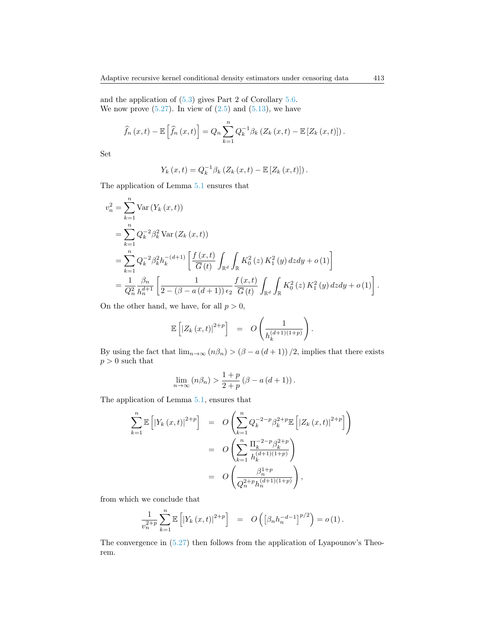and the application of [\(5.3\)](#page-14-5) gives Part 2 of Corollary [5.6.](#page-23-0) We now prove  $(5.27)$ . In view of  $(2.5)$  and  $(5.13)$ , we have

$$
\widehat{f}_n(x,t) - \mathbb{E}\left[\widehat{f}_n(x,t)\right] = Q_n \sum_{k=1}^n Q_k^{-1} \beta_k \left(Z_k(x,t) - \mathbb{E}\left[Z_k(x,t)\right]\right).
$$

Set

$$
Y_k(x,t) = Q_k^{-1} \beta_k (Z_k(x,t) - \mathbb{E}[Z_k(x,t)]).
$$

The application of Lemma [5.1](#page-14-1) ensures that

$$
v_n^2 = \sum_{k=1}^n \text{Var}(Y_k(x,t))
$$
  
= 
$$
\sum_{k=1}^n Q_k^{-2} \beta_k^2 \text{Var}(Z_k(x,t))
$$
  
= 
$$
\sum_{k=1}^n Q_k^{-2} \beta_k^2 h_k^{-(d+1)} \left[ \frac{f(x,t)}{\overline{G}(t)} \int_{\mathbb{R}^d} \int_{\mathbb{R}} K_0^2(z) K_1^2(y) dz dy + o(1) \right]
$$
  
= 
$$
\frac{1}{Q_n^2} \frac{\beta_n}{h_n^{d+1}} \left[ \frac{1}{2 - (\beta - a(d+1)) \epsilon_2} \frac{f(x,t)}{\overline{G}(t)} \int_{\mathbb{R}^d} \int_{\mathbb{R}} K_0^2(z) K_1^2(y) dz dy + o(1) \right].
$$

On the other hand, we have, for all  $p > 0$ ,

$$
\mathbb{E}\left[ \left| Z_k\left( x,t\right) \right|^{2+p} \right] = O\left( \frac{1}{h_k^{(d+1)(1+p)}} \right).
$$

By using the fact that  $\lim_{n\to\infty} (n\beta_n) > (\beta - a (d+1))/2$ , implies that there exists  $p > 0$  such that

$$
\lim_{n \to \infty} (n\beta_n) > \frac{1+p}{2+p} (\beta - a (d+1)).
$$

The application of Lemma [5.1,](#page-14-1) ensures that

$$
\sum_{k=1}^{n} \mathbb{E} \left[ |Y_k(x,t)|^{2+p} \right] = O \left( \sum_{k=1}^{n} Q_k^{-2-p} \beta_k^{2+p} \mathbb{E} \left[ |Z_k(x,t)|^{2+p} \right] \right)
$$
  

$$
= O \left( \sum_{k=1}^{n} \frac{\Pi_k^{-2-p} \beta_k^{2+p}}{h_k^{(d+1)(1+p)}} \right)
$$
  

$$
= O \left( \frac{\beta_n^{1+p}}{Q_n^{2+p} h_n^{(d+1)(1+p)}} \right),
$$

from which we conclude that

$$
\frac{1}{v_n^{2+p}} \sum_{k=1}^n \mathbb{E} \left[ \left| Y_k(x,t) \right|^{2+p} \right] = O \left( \left[ \beta_n h_n^{-d-1} \right]^{p/2} \right) = o \left( 1 \right).
$$

The convergence in [\(5.27\)](#page-23-4) then follows from the application of Lyapounov's Theorem.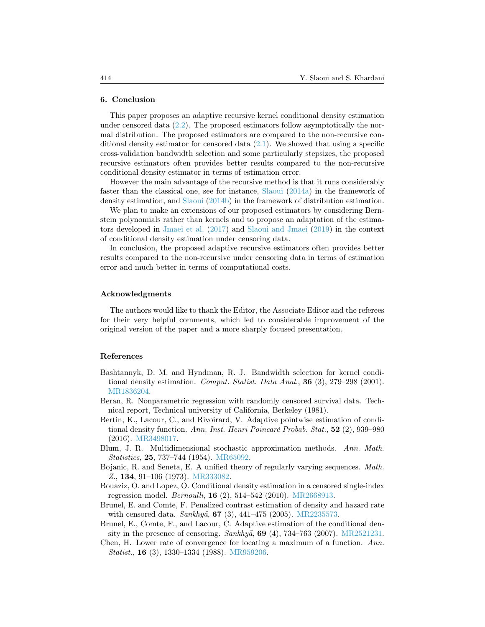#### <span id="page-25-7"></span>6. Conclusion

This paper proposes an adaptive recursive kernel conditional density estimation under censored data  $(2.2)$ . The proposed estimators follow asymptotically the normal distribution. The proposed estimators are compared to the non-recursive conditional density estimator for censored data  $(2.1)$ . We showed that using a specific cross-validation bandwidth selection and some particularly stepsizes, the proposed recursive estimators often provides better results compared to the non-recursive conditional density estimator in terms of estimation error.

However the main advantage of the recursive method is that it runs considerably faster than the classical one, see for instance, [Slaoui](#page-28-4) [\(2014a\)](#page-28-4) in the framework of density estimation, and [Slaoui](#page-28-5) [\(2014b\)](#page-28-5) in the framework of distribution estimation.

We plan to make an extensions of our proposed estimators by considering Bernstein polynomials rather than kernels and to propose an adaptation of the estimators developed in [Jmaei et al.](#page-26-20) [\(2017\)](#page-26-20) and [Slaoui and Jmaei](#page-28-8) [\(2019\)](#page-28-8) in the context of conditional density estimation under censoring data.

In conclusion, the proposed adaptive recursive estimators often provides better results compared to the non-recursive under censoring data in terms of estimation error and much better in terms of computational costs.

#### Acknowledgments

The authors would like to thank the Editor, the Associate Editor and the referees for their very helpful comments, which led to considerable improvement of the original version of the paper and a more sharply focused presentation.

#### References

- <span id="page-25-0"></span>Bashtannyk, D. M. and Hyndman, R. J. Bandwidth selection for kernel conditional density estimation. Comput. Statist. Data Anal., 36 (3), 279–298 (2001). [MR1836204.](http://www.ams.org/mathscinet-getitem?mr=MR1836204)
- <span id="page-25-2"></span>Beran, R. Nonparametric regression with randomly censored survival data. Technical report, Technical university of California, Berkeley (1981).
- <span id="page-25-1"></span>Bertin, K., Lacour, C., and Rivoirard, V. Adaptive pointwise estimation of conditional density function. Ann. Inst. Henri Poincaré Probab. Stat., 52 (2), 939-980 (2016). [MR3498017.](http://www.ams.org/mathscinet-getitem?mr=MR3498017)
- <span id="page-25-5"></span>Blum, J. R. Multidimensional stochastic approximation methods. Ann. Math. Statistics, 25, 737–744 (1954). [MR65092.](http://www.ams.org/mathscinet-getitem?mr=MR65092)
- <span id="page-25-9"></span>Bojanic, R. and Seneta, E. A unified theory of regularly varying sequences. Math. Z., 134, 91–106 (1973). [MR333082.](http://www.ams.org/mathscinet-getitem?mr=MR333082)
- <span id="page-25-4"></span>Bouaziz, O. and Lopez, O. Conditional density estimation in a censored single-index regression model. Bernoulli, 16 (2), 514–542 (2010). [MR2668913.](http://www.ams.org/mathscinet-getitem?mr=MR2668913)
- <span id="page-25-8"></span>Brunel, E. and Comte, F. Penalized contrast estimation of density and hazard rate with censored data.  $Sankhy\bar{a}$ , **67** (3), 441–475 (2005). [MR2235573.](http://www.ams.org/mathscinet-getitem?mr=MR2235573)
- <span id="page-25-3"></span>Brunel, E., Comte, F., and Lacour, C. Adaptive estimation of the conditional density in the presence of censoring.  $Sankhy\bar{a}$ , **69** (4), 734–763 (2007). [MR2521231.](http://www.ams.org/mathscinet-getitem?mr=MR2521231)
- <span id="page-25-6"></span>Chen, H. Lower rate of convergence for locating a maximum of a function. Ann. Statist., 16 (3), 1330–1334 (1988). [MR959206.](http://www.ams.org/mathscinet-getitem?mr=MR959206)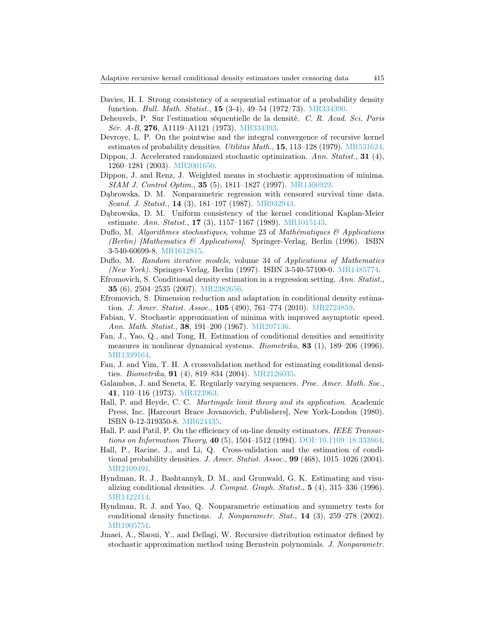- <span id="page-26-14"></span>Davies, H. I. Strong consistency of a sequential estimator of a probability density function. Bull. Math. Statist., 15 (3-4), 49–54 (1972/73). [MR334390.](http://www.ams.org/mathscinet-getitem?mr=MR334390)
- <span id="page-26-16"></span>Deheuvels, P. Sur l'estimation séquentielle de la densité. C. R. Acad. Sci. Paris Sér. A-B, 276, A1119-A1121 (1973). [MR334393.](http://www.ams.org/mathscinet-getitem?mr=MR334393)
- <span id="page-26-15"></span>Devroye, L. P. On the pointwise and the integral convergence of recursive kernel estimates of probability densities. *Utilitas Math.*, **15**, 113–128 (1979). [MR531624.](http://www.ams.org/mathscinet-getitem?mr=MR531624)
- <span id="page-26-13"></span>Dippon, J. Accelerated randomized stochastic optimization. Ann. Statist., 31 (4), 1260–1281 (2003). [MR2001650.](http://www.ams.org/mathscinet-getitem?mr=MR2001650)
- <span id="page-26-12"></span>Dippon, J. and Renz, J. Weighted means in stochastic approximation of minima. SIAM J. Control Optim., 35 (5), 1811–1827 (1997). [MR1466929.](http://www.ams.org/mathscinet-getitem?mr=MR1466929)
- <span id="page-26-7"></span>Dąbrowska, D. M. Nonparametric regression with censored survival time data. Scand. J. Statist., 14 (3), 181–197 (1987). [MR932943.](http://www.ams.org/mathscinet-getitem?mr=MR932943)
- <span id="page-26-8"></span>Dąbrowska, D. M. Uniform consistency of the kernel conditional Kaplan-Meier estimate. Ann. Statist., **17** (3), 1157–1167 (1989). [MR1015143.](http://www.ams.org/mathscinet-getitem?mr=MR1015143)
- <span id="page-26-11"></span>Duflo, M. Algorithmes stochastiques, volume 23 of Mathématiques  $\mathcal{C}_{\mathcal{A}}$  Applications (Berlin) [Mathematics & Applications]. Springer-Verlag, Berlin (1996). ISBN 3-540-60699-8. [MR1612815.](http://www.ams.org/mathscinet-getitem?mr=MR1612815)
- <span id="page-26-17"></span>Duflo, M. Random iterative models, volume 34 of Applications of Mathematics (New York). Springer-Verlag, Berlin (1997). ISBN 3-540-57100-0. [MR1485774.](http://www.ams.org/mathscinet-getitem?mr=MR1485774)
- <span id="page-26-5"></span>Efromovich, S. Conditional density estimation in a regression setting. Ann. Statist., 35 (6), 2504–2535 (2007). [MR2382656.](http://www.ams.org/mathscinet-getitem?mr=MR2382656)
- <span id="page-26-6"></span>Efromovich, S. Dimension reduction and adaptation in conditional density estimation. J. Amer. Statist. Assoc., **105** (490), 761–774 (2010). [MR2724859.](http://www.ams.org/mathscinet-getitem?mr=MR2724859)
- <span id="page-26-9"></span>Fabian, V. Stochastic approximation of minima with improved asymptotic speed. Ann. Math. Statist., 38, 191–200 (1967). [MR207136.](http://www.ams.org/mathscinet-getitem?mr=MR207136)
- <span id="page-26-1"></span>Fan, J., Yao, Q., and Tong, H. Estimation of conditional densities and sensitivity measures in nonlinear dynamical systems. Biometrika, 83 (1), 189–206 (1996). [MR1399164.](http://www.ams.org/mathscinet-getitem?mr=MR1399164)
- <span id="page-26-4"></span>Fan, J. and Yim, T. H. A crossvalidation method for estimating conditional densities. Biometrika, 91 (4), 819–834 (2004). [MR2126035.](http://www.ams.org/mathscinet-getitem?mr=MR2126035)
- <span id="page-26-19"></span>Galambos, J. and Seneta, E. Regularly varying sequences. Proc. Amer. Math. Soc., 41, 110–116 (1973). [MR323963.](http://www.ams.org/mathscinet-getitem?mr=MR323963)
- <span id="page-26-10"></span>Hall, P. and Heyde, C. C. Martingale limit theory and its application. Academic Press, Inc. [Harcourt Brace Jovanovich, Publishers], New York-London (1980). ISBN 0-12-319350-8. [MR624435.](http://www.ams.org/mathscinet-getitem?mr=MR624435)
- <span id="page-26-18"></span>Hall, P. and Patil, P. On the efficiency of on-line density estimators. IEEE Transactions on Information Theory, 40 (5), 1504–1512 (1994). [DOI: 10.1109/18.333864.](http://dx.doi.org/10.1109/18.333864)
- <span id="page-26-3"></span>Hall, P., Racine, J., and Li, Q. Cross-validation and the estimation of conditional probability densities. J. Amer. Statist. Assoc., **99** (468),  $1015-1026$  (2004). [MR2109491.](http://www.ams.org/mathscinet-getitem?mr=MR2109491)
- <span id="page-26-0"></span>Hyndman, R. J., Bashtannyk, D. M., and Grunwald, G. K. Estimating and visualizing conditional densities. J. Comput. Graph. Statist., 5 (4), 315–336 (1996). [MR1422114.](http://www.ams.org/mathscinet-getitem?mr=MR1422114)
- <span id="page-26-2"></span>Hyndman, R. J. and Yao, Q. Nonparametric estimation and symmetry tests for conditional density functions. J. Nonparametr. Stat.,  $14$  (3),  $259-278$  (2002). [MR1905751.](http://www.ams.org/mathscinet-getitem?mr=MR1905751)
- <span id="page-26-20"></span>Jmaei, A., Slaoui, Y., and Dellagi, W. Recursive distribution estimator defined by stochastic approximation method using Bernstein polynomials. J. Nonparametr.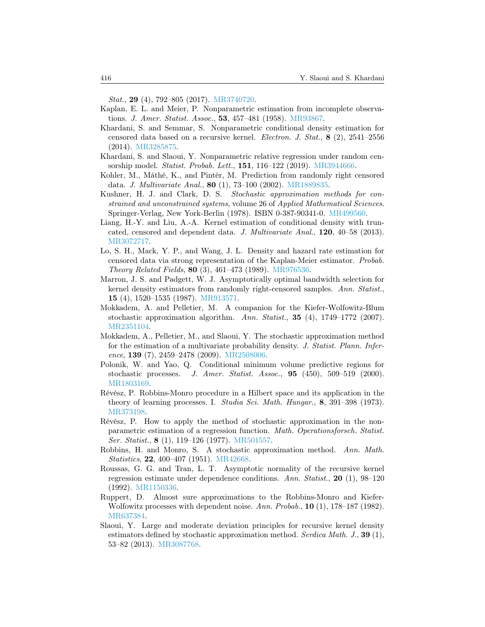Stat., 29 (4), 792–805 (2017). [MR3740720.](http://www.ams.org/mathscinet-getitem?mr=MR3740720)

- <span id="page-27-0"></span>Kaplan, E. L. and Meier, P. Nonparametric estimation from incomplete observations. *J. Amer. Statist. Assoc.*, **53**, 457–481 (1958). [MR93867.](http://www.ams.org/mathscinet-getitem?mr=MR93867)
- <span id="page-27-14"></span>Khardani, S. and Semmar, S. Nonparametric conditional density estimation for censored data based on a recursive kernel. Electron. J. Stat.,  $\mathbf{8}$  (2), 2541–2556 (2014). [MR3285875.](http://www.ams.org/mathscinet-getitem?mr=MR3285875)
- <span id="page-27-12"></span>Khardani, S. and Slaoui, Y. Nonparametric relative regression under random cen-sorship model. Statist. Probab. Lett., 151, 116-122 (2019). [MR3944666.](http://www.ams.org/mathscinet-getitem?mr=MR3944666)
- <span id="page-27-2"></span>Kohler, M., Máthé, K., and Pintér, M. Prediction from randomly right censored data. J. Multivariate Anal., 80 (1), 73–100 (2002). [MR1889835.](http://www.ams.org/mathscinet-getitem?mr=MR1889835)
- <span id="page-27-5"></span>Kushner, H. J. and Clark, D. S. Stochastic approximation methods for constrained and unconstrained systems, volume 26 of Applied Mathematical Sciences. Springer-Verlag, New York-Berlin (1978). ISBN 0-387-90341-0. [MR499560.](http://www.ams.org/mathscinet-getitem?mr=MR499560)
- <span id="page-27-3"></span>Liang, H.-Y. and Liu, A.-A. Kernel estimation of conditional density with truncated, censored and dependent data. J. Multivariate Anal., 120, 40–58 (2013). [MR3072717.](http://www.ams.org/mathscinet-getitem?mr=MR3072717)
- <span id="page-27-13"></span>Lo, S. H., Mack, Y. P., and Wang, J. L. Density and hazard rate estimation for censored data via strong representation of the Kaplan-Meier estimator. Probab. Theory Related Fields, 80 (3), 461–473 (1989). [MR976536.](http://www.ams.org/mathscinet-getitem?mr=MR976536)
- <span id="page-27-15"></span>Marron, J. S. and Padgett, W. J. Asymptotically optimal bandwidth selection for kernel density estimators from randomly right-censored samples. Ann. Statist., 15 (4), 1520–1535 (1987). [MR913571.](http://www.ams.org/mathscinet-getitem?mr=MR913571)
- <span id="page-27-9"></span>Mokkadem, A. and Pelletier, M. A companion for the Kiefer-Wolfowitz-Blum stochastic approximation algorithm. Ann. Statist., 35  $(4)$ , 1749–1772 (2007). [MR2351104.](http://www.ams.org/mathscinet-getitem?mr=MR2351104)
- <span id="page-27-16"></span>Mokkadem, A., Pelletier, M., and Slaoui, Y. The stochastic approximation method for the estimation of a multivariate probability density. J. Statist. Plann. Inference, 139  $(7)$ , 2459–2478  $(2009)$ . [MR2508006.](http://www.ams.org/mathscinet-getitem?mr=MR2508006)
- <span id="page-27-1"></span>Polonik, W. and Yao, Q. Conditional minimum volume predictive regions for stochastic processes. J. Amer. Statist. Assoc.,  $95$   $(450)$ ,  $509-519$   $(2000)$ . [MR1803169.](http://www.ams.org/mathscinet-getitem?mr=MR1803169)
- <span id="page-27-7"></span>Révész, P. Robbins-Monro procedure in a Hilbert space and its application in the theory of learning processes. I. Studia Sci. Math. Hungar., 8, 391–398 (1973). [MR373198.](http://www.ams.org/mathscinet-getitem?mr=MR373198)
- <span id="page-27-8"></span>Révész, P. How to apply the method of stochastic approximation in the nonparametric estimation of a regression function. Math. Operationsforsch. Statist. Ser. Statist., 8 (1), 119–126 (1977). [MR501557.](http://www.ams.org/mathscinet-getitem?mr=MR501557)
- <span id="page-27-4"></span>Robbins, H. and Monro, S. A stochastic approximation method. Ann. Math. Statistics, 22, 400–407 (1951). [MR42668.](http://www.ams.org/mathscinet-getitem?mr=MR42668)
- <span id="page-27-10"></span>Roussas, G. G. and Tran, L. T. Asymptotic normality of the recursive kernel regression estimate under dependence conditions. Ann. Statist., 20  $(1)$ , 98-120 (1992). [MR1150336.](http://www.ams.org/mathscinet-getitem?mr=MR1150336)
- <span id="page-27-6"></span>Ruppert, D. Almost sure approximations to the Robbins-Monro and Kiefer-Wolfowitz processes with dependent noise. Ann. Probab., 10 (1), 178–187 (1982). [MR637384.](http://www.ams.org/mathscinet-getitem?mr=MR637384)
- <span id="page-27-11"></span>Slaoui, Y. Large and moderate deviation principles for recursive kernel density estimators defined by stochastic approximation method. Serdica Math. J.,  $39(1)$ , 53–82 (2013). [MR3087768.](http://www.ams.org/mathscinet-getitem?mr=MR3087768)